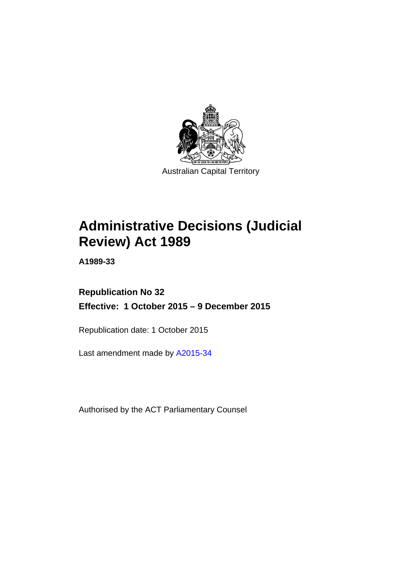

# **Administrative Decisions (Judicial Review) Act 1989**

**A1989-33** 

## **Republication No 32 Effective: 1 October 2015 – 9 December 2015**

Republication date: 1 October 2015

Last amendment made by [A2015-34](http://www.legislation.act.gov.au/a/2015-34)

Authorised by the ACT Parliamentary Counsel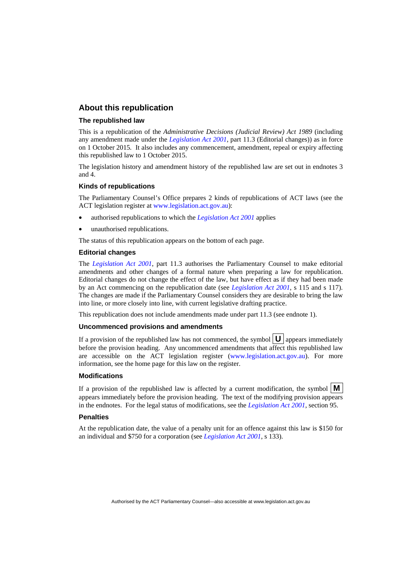#### **About this republication**

#### **The republished law**

This is a republication of the *Administrative Decisions (Judicial Review) Act 1989* (including any amendment made under the *[Legislation Act 2001](http://www.legislation.act.gov.au/a/2001-14)*, part 11.3 (Editorial changes)) as in force on 1 October 2015*.* It also includes any commencement, amendment, repeal or expiry affecting this republished law to 1 October 2015.

The legislation history and amendment history of the republished law are set out in endnotes 3 and 4.

#### **Kinds of republications**

The Parliamentary Counsel's Office prepares 2 kinds of republications of ACT laws (see the ACT legislation register at [www.legislation.act.gov.au](http://www.legislation.act.gov.au/)):

- authorised republications to which the *[Legislation Act 2001](http://www.legislation.act.gov.au/a/2001-14)* applies
- unauthorised republications.

The status of this republication appears on the bottom of each page.

#### **Editorial changes**

The *[Legislation Act 2001](http://www.legislation.act.gov.au/a/2001-14)*, part 11.3 authorises the Parliamentary Counsel to make editorial amendments and other changes of a formal nature when preparing a law for republication. Editorial changes do not change the effect of the law, but have effect as if they had been made by an Act commencing on the republication date (see *[Legislation Act 2001](http://www.legislation.act.gov.au/a/2001-14)*, s 115 and s 117). The changes are made if the Parliamentary Counsel considers they are desirable to bring the law into line, or more closely into line, with current legislative drafting practice.

This republication does not include amendments made under part 11.3 (see endnote 1).

#### **Uncommenced provisions and amendments**

If a provision of the republished law has not commenced, the symbol  $\mathbf{U}$  appears immediately before the provision heading. Any uncommenced amendments that affect this republished law are accessible on the ACT legislation register [\(www.legislation.act.gov.au\)](http://www.legislation.act.gov.au/). For more information, see the home page for this law on the register.

#### **Modifications**

If a provision of the republished law is affected by a current modification, the symbol  $\mathbf{M}$ appears immediately before the provision heading. The text of the modifying provision appears in the endnotes. For the legal status of modifications, see the *[Legislation Act 2001](http://www.legislation.act.gov.au/a/2001-14)*, section 95.

#### **Penalties**

At the republication date, the value of a penalty unit for an offence against this law is \$150 for an individual and \$750 for a corporation (see *[Legislation Act 2001](http://www.legislation.act.gov.au/a/2001-14)*, s 133).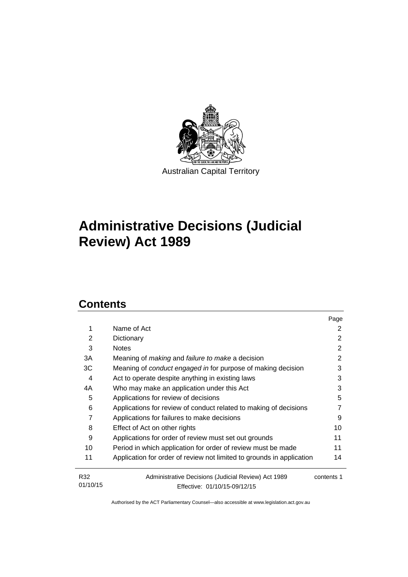

# **Administrative Decisions (Judicial Review) Act 1989**

## **Contents**

|          |                                                                       | Page       |
|----------|-----------------------------------------------------------------------|------------|
| 1        | Name of Act                                                           | 2          |
| 2        | Dictionary                                                            | 2          |
| 3        | <b>Notes</b>                                                          | 2          |
| 3A       | Meaning of <i>making</i> and <i>failure to make</i> a decision        | 2          |
| ЗC       | Meaning of conduct engaged in for purpose of making decision          | 3          |
| 4        | Act to operate despite anything in existing laws                      | 3          |
| 4A       | Who may make an application under this Act                            | 3          |
| 5        | Applications for review of decisions                                  | 5          |
| 6        | Applications for review of conduct related to making of decisions     |            |
| 7        | Applications for failures to make decisions                           | 9          |
| 8        | Effect of Act on other rights                                         | 10         |
| 9        | Applications for order of review must set out grounds                 | 11         |
| 10       | Period in which application for order of review must be made          | 11         |
| 11       | Application for order of review not limited to grounds in application | 14         |
| R32      | Administrative Decisions (Judicial Review) Act 1989                   | contents 1 |
| 01/10/15 | Effective: 01/10/15-09/12/15                                          |            |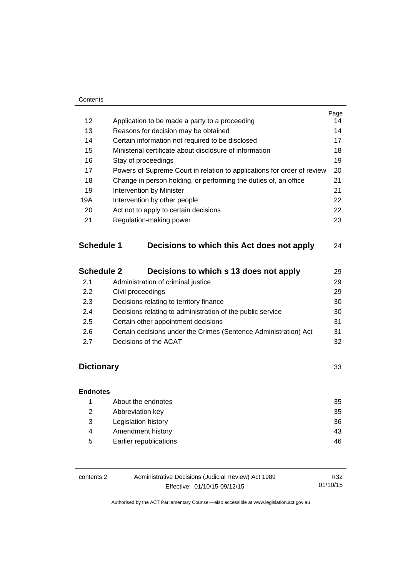#### **Contents**

|                   |                                                                         | Page |  |
|-------------------|-------------------------------------------------------------------------|------|--|
| 12                | Application to be made a party to a proceeding                          | 14   |  |
| 13                | Reasons for decision may be obtained                                    | 14   |  |
| 14                | Certain information not required to be disclosed                        | 17   |  |
| 15                | Ministerial certificate about disclosure of information                 | 18   |  |
| 16                | Stay of proceedings                                                     | 19   |  |
| 17                | Powers of Supreme Court in relation to applications for order of review | 20   |  |
| 18                | Change in person holding, or performing the duties of, an office        | 21   |  |
| 19                | 21<br>Intervention by Minister                                          |      |  |
| 19A               | Intervention by other people                                            |      |  |
| 20                | Act not to apply to certain decisions                                   | 22   |  |
| 21                | Regulation-making power                                                 | 23   |  |
| <b>Schedule 1</b> | Decisions to which this Act does not apply                              | 24   |  |
| <b>Schedule 2</b> | Decisions to which s 13 does not apply                                  | 29   |  |
| 2.1               | Administration of criminal justice                                      | 29   |  |

| $\sim$ | <b>AUTHING QUOT OF CHILIBIOI ROUGE</b>                           | ້  |
|--------|------------------------------------------------------------------|----|
| 2.2    | Civil proceedings                                                | 29 |
| 2.3    | Decisions relating to territory finance                          | 30 |
| 2.4    | Decisions relating to administration of the public service       | 30 |
| 2.5    | Certain other appointment decisions                              | 31 |
| 2.6    | Certain decisions under the Crimes (Sentence Administration) Act | 31 |
| 2.7    | Decisions of the ACAT                                            | 32 |
|        |                                                                  |    |

## **[Dictionary](#page-36-0)** [33](#page-36-0)

## **[Endnotes](#page-38-0)** 1 [About the endnotes 35](#page-38-1) 2 [Abbreviation key 35](#page-38-2) 3 [Legislation history 36](#page-39-0) 4 Amendment history **43** 5 [Earlier republications 46](#page-49-0)

| contents 2 | Administrative Decisions (Judicial Review) Act 1989 | R32      |
|------------|-----------------------------------------------------|----------|
|            | Effective: 01/10/15-09/12/15                        | 01/10/15 |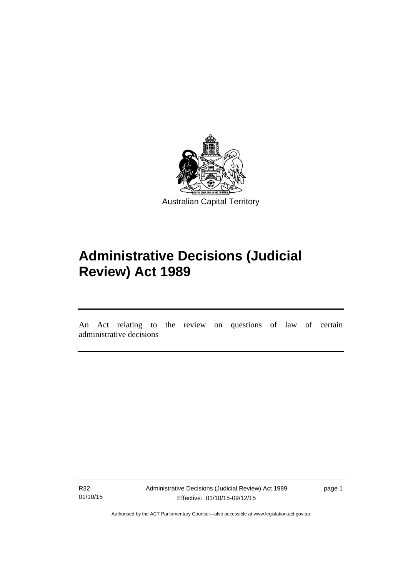

# **Administrative Decisions (Judicial Review) Act 1989**

An Act relating to the review on questions of law of certain administrative decisions

R32 01/10/15

l

Administrative Decisions (Judicial Review) Act 1989 Effective: 01/10/15-09/12/15

page 1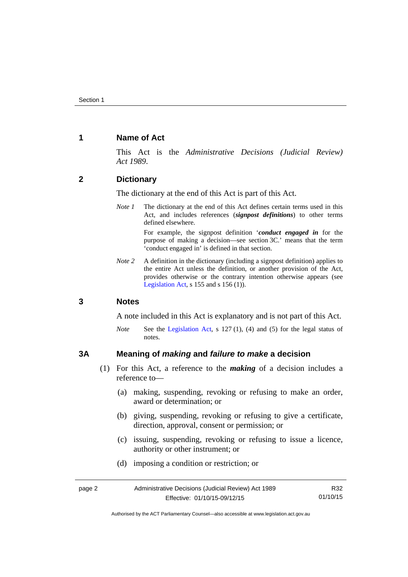#### <span id="page-5-0"></span>**1 Name of Act**

This Act is the *Administrative Decisions (Judicial Review) Act 1989*.

#### <span id="page-5-1"></span>**2 Dictionary**

The dictionary at the end of this Act is part of this Act.

*Note 1* The dictionary at the end of this Act defines certain terms used in this Act, and includes references (*signpost definitions*) to other terms defined elsewhere.

> For example, the signpost definition '*conduct engaged in* for the purpose of making a decision—see section 3C.' means that the term 'conduct engaged in' is defined in that section.

*Note 2* A definition in the dictionary (including a signpost definition) applies to the entire Act unless the definition, or another provision of the Act, provides otherwise or the contrary intention otherwise appears (see [Legislation Act,](http://www.legislation.act.gov.au/a/2001-14) s  $155$  and s  $156$  (1)).

#### <span id="page-5-2"></span>**3 Notes**

A note included in this Act is explanatory and is not part of this Act.

*Note* See the [Legislation Act,](http://www.legislation.act.gov.au/a/2001-14) s 127 (1), (4) and (5) for the legal status of notes.

#### <span id="page-5-3"></span>**3A Meaning of** *making* **and** *failure to make* **a decision**

- (1) For this Act, a reference to the *making* of a decision includes a reference to—
	- (a) making, suspending, revoking or refusing to make an order, award or determination; or
	- (b) giving, suspending, revoking or refusing to give a certificate, direction, approval, consent or permission; or
	- (c) issuing, suspending, revoking or refusing to issue a licence, authority or other instrument; or
	- (d) imposing a condition or restriction; or

| page 2 | Administrative Decisions (Judicial Review) Act 1989 | R32      |
|--------|-----------------------------------------------------|----------|
|        | Effective: 01/10/15-09/12/15                        | 01/10/15 |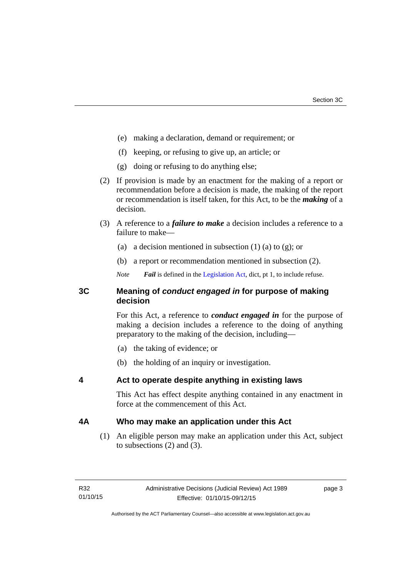- (e) making a declaration, demand or requirement; or
- (f) keeping, or refusing to give up, an article; or
- (g) doing or refusing to do anything else;
- (2) If provision is made by an enactment for the making of a report or recommendation before a decision is made, the making of the report or recommendation is itself taken, for this Act, to be the *making* of a decision.
- (3) A reference to a *failure to make* a decision includes a reference to a failure to make—
	- (a) a decision mentioned in subsection  $(1)$  (a) to  $(g)$ ; or
	- (b) a report or recommendation mentioned in subsection (2).
	- *Note Fail* is defined in the [Legislation Act](http://www.legislation.act.gov.au/a/2001-14), dict, pt 1, to include refuse.

#### <span id="page-6-0"></span>**3C Meaning of** *conduct engaged in* **for purpose of making decision**

For this Act, a reference to *conduct engaged in* for the purpose of making a decision includes a reference to the doing of anything preparatory to the making of the decision, including—

- (a) the taking of evidence; or
- (b) the holding of an inquiry or investigation.

#### <span id="page-6-1"></span>**4 Act to operate despite anything in existing laws**

This Act has effect despite anything contained in any enactment in force at the commencement of this Act.

#### <span id="page-6-2"></span>**4A Who may make an application under this Act**

(1) An eligible person may make an application under this Act, subject to subsections (2) and (3).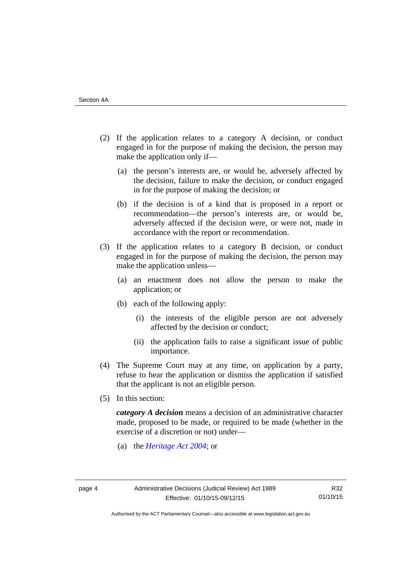- (2) If the application relates to a category A decision, or conduct engaged in for the purpose of making the decision, the person may make the application only if—
	- (a) the person's interests are, or would be, adversely affected by the decision, failure to make the decision, or conduct engaged in for the purpose of making the decision; or
	- (b) if the decision is of a kind that is proposed in a report or recommendation—the person's interests are, or would be, adversely affected if the decision were, or were not, made in accordance with the report or recommendation.
- (3) If the application relates to a category B decision, or conduct engaged in for the purpose of making the decision, the person may make the application unless—
	- (a) an enactment does not allow the person to make the application; or
	- (b) each of the following apply:
		- (i) the interests of the eligible person are not adversely affected by the decision or conduct;
		- (ii) the application fails to raise a significant issue of public importance.
- (4) The Supreme Court may at any time, on application by a party, refuse to hear the application or dismiss the application if satisfied that the applicant is not an eligible person.
- (5) In this section:

*category A decision* means a decision of an administrative character made, proposed to be made, or required to be made (whether in the exercise of a discretion or not) under—

(a) the *[Heritage Act 2004](http://www.legislation.act.gov.au/a/2004-57/default.asp)*; or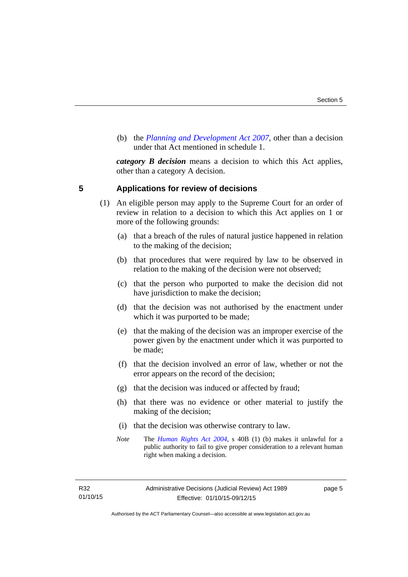(b) the *[Planning and Development Act 2007](http://www.legislation.act.gov.au/a/2007-24/default.asp)*, other than a decision under that Act mentioned in schedule 1.

*category B decision* means a decision to which this Act applies, other than a category A decision.

#### <span id="page-8-0"></span>**5 Applications for review of decisions**

- (1) An eligible person may apply to the Supreme Court for an order of review in relation to a decision to which this Act applies on 1 or more of the following grounds:
	- (a) that a breach of the rules of natural justice happened in relation to the making of the decision;
	- (b) that procedures that were required by law to be observed in relation to the making of the decision were not observed;
	- (c) that the person who purported to make the decision did not have jurisdiction to make the decision;
	- (d) that the decision was not authorised by the enactment under which it was purported to be made;
	- (e) that the making of the decision was an improper exercise of the power given by the enactment under which it was purported to be made;
	- (f) that the decision involved an error of law, whether or not the error appears on the record of the decision;
	- (g) that the decision was induced or affected by fraud;
	- (h) that there was no evidence or other material to justify the making of the decision;
	- (i) that the decision was otherwise contrary to law.
	- *Note* The *[Human Rights Act 2004](http://www.legislation.act.gov.au/a/2004-5)*, s 40B (1) (b) makes it unlawful for a public authority to fail to give proper consideration to a relevant human right when making a decision.

R32 01/10/15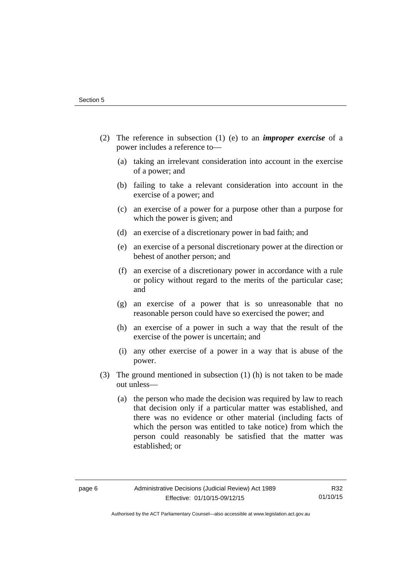- (2) The reference in subsection (1) (e) to an *improper exercise* of a power includes a reference to—
	- (a) taking an irrelevant consideration into account in the exercise of a power; and
	- (b) failing to take a relevant consideration into account in the exercise of a power; and
	- (c) an exercise of a power for a purpose other than a purpose for which the power is given; and
	- (d) an exercise of a discretionary power in bad faith; and
	- (e) an exercise of a personal discretionary power at the direction or behest of another person; and
	- (f) an exercise of a discretionary power in accordance with a rule or policy without regard to the merits of the particular case; and
	- (g) an exercise of a power that is so unreasonable that no reasonable person could have so exercised the power; and
	- (h) an exercise of a power in such a way that the result of the exercise of the power is uncertain; and
	- (i) any other exercise of a power in a way that is abuse of the power.
- (3) The ground mentioned in subsection (1) (h) is not taken to be made out unless—
	- (a) the person who made the decision was required by law to reach that decision only if a particular matter was established, and there was no evidence or other material (including facts of which the person was entitled to take notice) from which the person could reasonably be satisfied that the matter was established; or

R32 01/10/15

Authorised by the ACT Parliamentary Counsel—also accessible at www.legislation.act.gov.au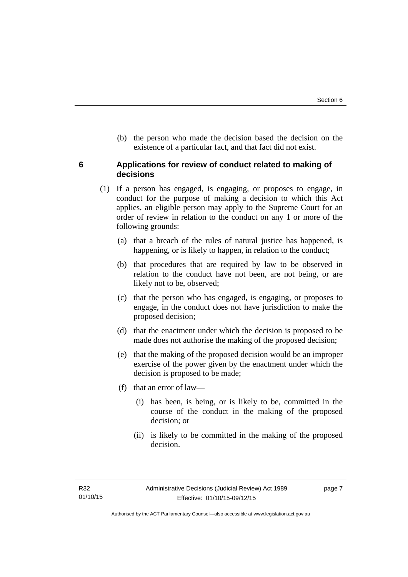(b) the person who made the decision based the decision on the existence of a particular fact, and that fact did not exist.

#### <span id="page-10-0"></span>**6 Applications for review of conduct related to making of decisions**

- (1) If a person has engaged, is engaging, or proposes to engage, in conduct for the purpose of making a decision to which this Act applies, an eligible person may apply to the Supreme Court for an order of review in relation to the conduct on any 1 or more of the following grounds:
	- (a) that a breach of the rules of natural justice has happened, is happening, or is likely to happen, in relation to the conduct;
	- (b) that procedures that are required by law to be observed in relation to the conduct have not been, are not being, or are likely not to be, observed;
	- (c) that the person who has engaged, is engaging, or proposes to engage, in the conduct does not have jurisdiction to make the proposed decision;
	- (d) that the enactment under which the decision is proposed to be made does not authorise the making of the proposed decision;
	- (e) that the making of the proposed decision would be an improper exercise of the power given by the enactment under which the decision is proposed to be made;
	- (f) that an error of law—
		- (i) has been, is being, or is likely to be, committed in the course of the conduct in the making of the proposed decision; or
		- (ii) is likely to be committed in the making of the proposed decision.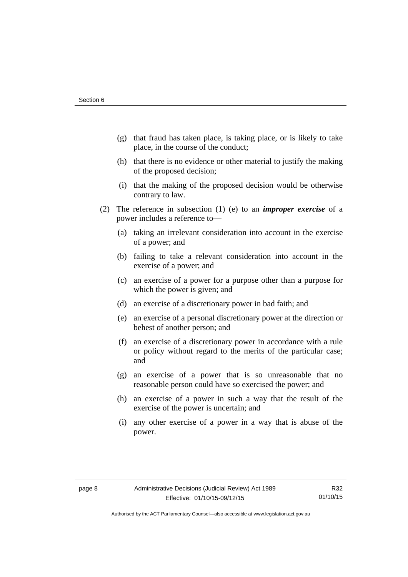- (g) that fraud has taken place, is taking place, or is likely to take place, in the course of the conduct;
- (h) that there is no evidence or other material to justify the making of the proposed decision;
- (i) that the making of the proposed decision would be otherwise contrary to law.
- (2) The reference in subsection (1) (e) to an *improper exercise* of a power includes a reference to—
	- (a) taking an irrelevant consideration into account in the exercise of a power; and
	- (b) failing to take a relevant consideration into account in the exercise of a power; and
	- (c) an exercise of a power for a purpose other than a purpose for which the power is given; and
	- (d) an exercise of a discretionary power in bad faith; and
	- (e) an exercise of a personal discretionary power at the direction or behest of another person; and
	- (f) an exercise of a discretionary power in accordance with a rule or policy without regard to the merits of the particular case; and
	- (g) an exercise of a power that is so unreasonable that no reasonable person could have so exercised the power; and
	- (h) an exercise of a power in such a way that the result of the exercise of the power is uncertain; and
	- (i) any other exercise of a power in a way that is abuse of the power.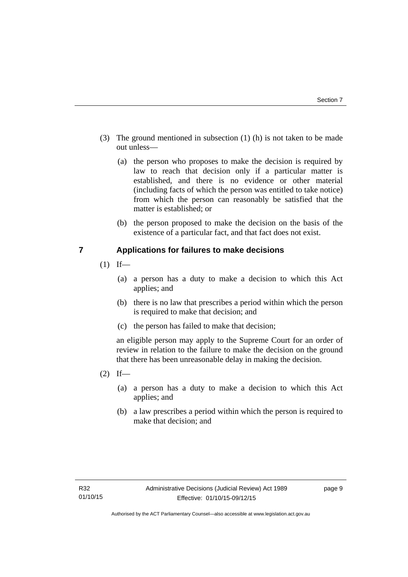- (3) The ground mentioned in subsection (1) (h) is not taken to be made out unless—
	- (a) the person who proposes to make the decision is required by law to reach that decision only if a particular matter is established, and there is no evidence or other material (including facts of which the person was entitled to take notice) from which the person can reasonably be satisfied that the matter is established; or
	- (b) the person proposed to make the decision on the basis of the existence of a particular fact, and that fact does not exist.

#### <span id="page-12-0"></span>**7 Applications for failures to make decisions**

- $(1)$  If—
	- (a) a person has a duty to make a decision to which this Act applies; and
	- (b) there is no law that prescribes a period within which the person is required to make that decision; and
	- (c) the person has failed to make that decision;

an eligible person may apply to the Supreme Court for an order of review in relation to the failure to make the decision on the ground that there has been unreasonable delay in making the decision.

- $(2)$  If—
	- (a) a person has a duty to make a decision to which this Act applies; and
	- (b) a law prescribes a period within which the person is required to make that decision; and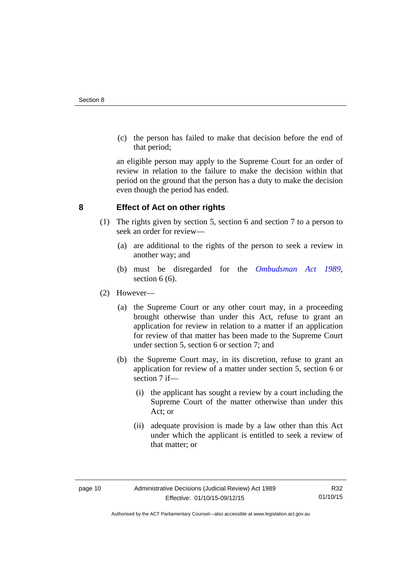(c) the person has failed to make that decision before the end of that period;

an eligible person may apply to the Supreme Court for an order of review in relation to the failure to make the decision within that period on the ground that the person has a duty to make the decision even though the period has ended.

#### <span id="page-13-0"></span>**8 Effect of Act on other rights**

- (1) The rights given by section 5, section 6 and section 7 to a person to seek an order for review—
	- (a) are additional to the rights of the person to seek a review in another way; and
	- (b) must be disregarded for the *[Ombudsman Act 1989](http://www.legislation.act.gov.au/a/alt_a1989-45co)*, section 6 (6).
- (2) However—
	- (a) the Supreme Court or any other court may, in a proceeding brought otherwise than under this Act, refuse to grant an application for review in relation to a matter if an application for review of that matter has been made to the Supreme Court under section 5, section 6 or section 7; and
	- (b) the Supreme Court may, in its discretion, refuse to grant an application for review of a matter under section 5, section 6 or section 7 if—
		- (i) the applicant has sought a review by a court including the Supreme Court of the matter otherwise than under this Act; or
		- (ii) adequate provision is made by a law other than this Act under which the applicant is entitled to seek a review of that matter; or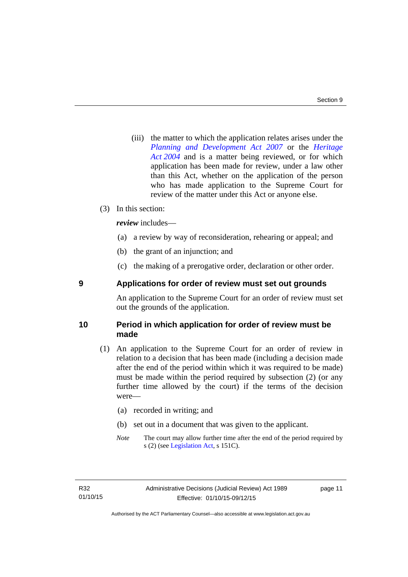(iii) the matter to which the application relates arises under the *[Planning and Development Act 2007](http://www.legislation.act.gov.au/a/2007-24)* or the *[Heritage](http://www.legislation.act.gov.au/a/2004-57)  [Act 2004](http://www.legislation.act.gov.au/a/2004-57)* and is a matter being reviewed, or for which application has been made for review, under a law other than this Act, whether on the application of the person who has made application to the Supreme Court for review of the matter under this Act or anyone else.

#### (3) In this section:

*review* includes—

- (a) a review by way of reconsideration, rehearing or appeal; and
- (b) the grant of an injunction; and
- (c) the making of a prerogative order, declaration or other order.

#### <span id="page-14-0"></span>**9 Applications for order of review must set out grounds**

An application to the Supreme Court for an order of review must set out the grounds of the application.

#### <span id="page-14-1"></span>**10 Period in which application for order of review must be made**

- (1) An application to the Supreme Court for an order of review in relation to a decision that has been made (including a decision made after the end of the period within which it was required to be made) must be made within the period required by subsection (2) (or any further time allowed by the court) if the terms of the decision were—
	- (a) recorded in writing; and
	- (b) set out in a document that was given to the applicant.
	- *Note* The court may allow further time after the end of the period required by s (2) (see [Legislation Act](http://www.legislation.act.gov.au/a/2001-14), s 151C).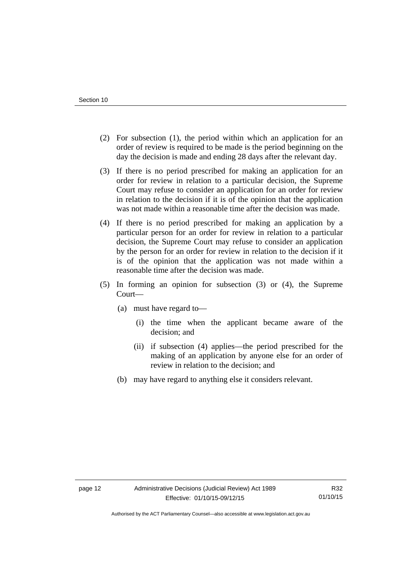- (2) For subsection (1), the period within which an application for an order of review is required to be made is the period beginning on the day the decision is made and ending 28 days after the relevant day.
- (3) If there is no period prescribed for making an application for an order for review in relation to a particular decision, the Supreme Court may refuse to consider an application for an order for review in relation to the decision if it is of the opinion that the application was not made within a reasonable time after the decision was made.
- (4) If there is no period prescribed for making an application by a particular person for an order for review in relation to a particular decision, the Supreme Court may refuse to consider an application by the person for an order for review in relation to the decision if it is of the opinion that the application was not made within a reasonable time after the decision was made.
- (5) In forming an opinion for subsection (3) or (4), the Supreme Court—
	- (a) must have regard to—
		- (i) the time when the applicant became aware of the decision; and
		- (ii) if subsection (4) applies—the period prescribed for the making of an application by anyone else for an order of review in relation to the decision; and
	- (b) may have regard to anything else it considers relevant.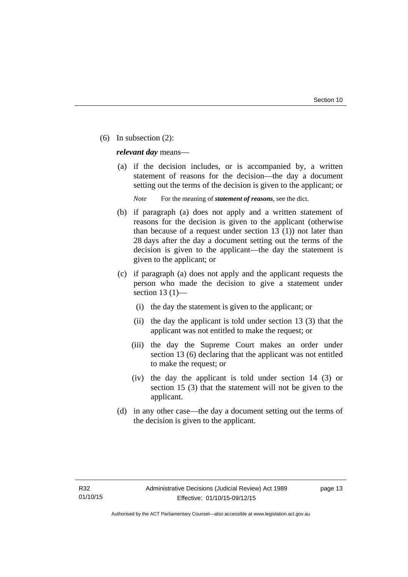(6) In subsection (2):

*relevant day* means—

 (a) if the decision includes, or is accompanied by, a written statement of reasons for the decision—the day a document setting out the terms of the decision is given to the applicant; or

*Note* For the meaning of *statement of reasons*, see the dict.

- (b) if paragraph (a) does not apply and a written statement of reasons for the decision is given to the applicant (otherwise than because of a request under section 13 (1)) not later than 28 days after the day a document setting out the terms of the decision is given to the applicant—the day the statement is given to the applicant; or
- (c) if paragraph (a) does not apply and the applicant requests the person who made the decision to give a statement under section 13 $(1)$ —
	- (i) the day the statement is given to the applicant; or
	- (ii) the day the applicant is told under section 13 (3) that the applicant was not entitled to make the request; or
	- (iii) the day the Supreme Court makes an order under section 13 (6) declaring that the applicant was not entitled to make the request; or
	- (iv) the day the applicant is told under section 14 (3) or section 15 (3) that the statement will not be given to the applicant.
- (d) in any other case—the day a document setting out the terms of the decision is given to the applicant.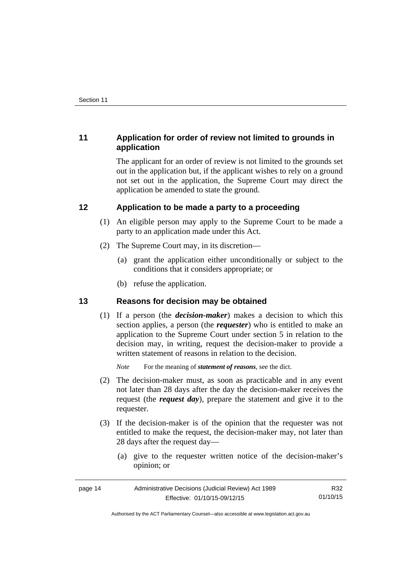### <span id="page-17-0"></span>**11 Application for order of review not limited to grounds in application**

The applicant for an order of review is not limited to the grounds set out in the application but, if the applicant wishes to rely on a ground not set out in the application, the Supreme Court may direct the application be amended to state the ground.

#### <span id="page-17-1"></span>**12 Application to be made a party to a proceeding**

- (1) An eligible person may apply to the Supreme Court to be made a party to an application made under this Act.
- (2) The Supreme Court may, in its discretion—
	- (a) grant the application either unconditionally or subject to the conditions that it considers appropriate; or
	- (b) refuse the application.

#### <span id="page-17-2"></span>**13 Reasons for decision may be obtained**

(1) If a person (the *decision-maker*) makes a decision to which this section applies, a person (the *requester*) who is entitled to make an application to the Supreme Court under section 5 in relation to the decision may, in writing, request the decision-maker to provide a written statement of reasons in relation to the decision.

*Note* For the meaning of *statement of reasons*, see the dict.

- (2) The decision-maker must, as soon as practicable and in any event not later than 28 days after the day the decision-maker receives the request (the *request day*), prepare the statement and give it to the requester.
- (3) If the decision-maker is of the opinion that the requester was not entitled to make the request, the decision-maker may, not later than 28 days after the request day—
	- (a) give to the requester written notice of the decision-maker's opinion; or

| page 14 | Administrative Decisions (Judicial Review) Act 1989 | R32      |
|---------|-----------------------------------------------------|----------|
|         | Effective: 01/10/15-09/12/15                        | 01/10/15 |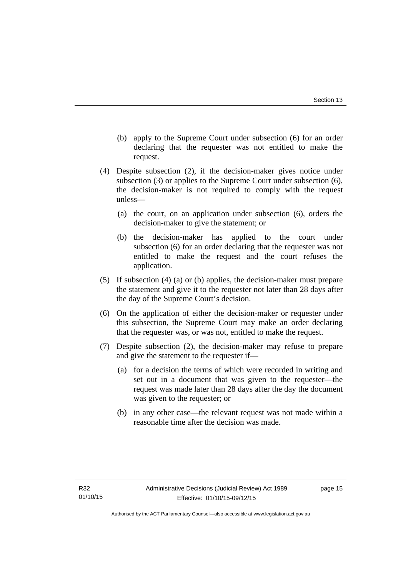- (b) apply to the Supreme Court under subsection (6) for an order declaring that the requester was not entitled to make the request.
- (4) Despite subsection (2), if the decision-maker gives notice under subsection (3) or applies to the Supreme Court under subsection (6), the decision-maker is not required to comply with the request unless—
	- (a) the court, on an application under subsection (6), orders the decision-maker to give the statement; or
	- (b) the decision-maker has applied to the court under subsection (6) for an order declaring that the requester was not entitled to make the request and the court refuses the application.
- (5) If subsection (4) (a) or (b) applies, the decision-maker must prepare the statement and give it to the requester not later than 28 days after the day of the Supreme Court's decision.
- (6) On the application of either the decision-maker or requester under this subsection, the Supreme Court may make an order declaring that the requester was, or was not, entitled to make the request.
- (7) Despite subsection (2), the decision-maker may refuse to prepare and give the statement to the requester if—
	- (a) for a decision the terms of which were recorded in writing and set out in a document that was given to the requester—the request was made later than 28 days after the day the document was given to the requester; or
	- (b) in any other case—the relevant request was not made within a reasonable time after the decision was made.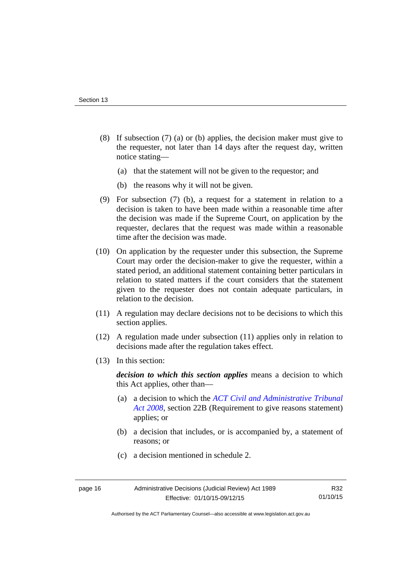- (8) If subsection (7) (a) or (b) applies, the decision maker must give to the requester, not later than 14 days after the request day, written notice stating—
	- (a) that the statement will not be given to the requestor; and
	- (b) the reasons why it will not be given.
- (9) For subsection (7) (b), a request for a statement in relation to a decision is taken to have been made within a reasonable time after the decision was made if the Supreme Court, on application by the requester, declares that the request was made within a reasonable time after the decision was made.
- (10) On application by the requester under this subsection, the Supreme Court may order the decision-maker to give the requester, within a stated period, an additional statement containing better particulars in relation to stated matters if the court considers that the statement given to the requester does not contain adequate particulars, in relation to the decision.
- (11) A regulation may declare decisions not to be decisions to which this section applies.
- (12) A regulation made under subsection (11) applies only in relation to decisions made after the regulation takes effect.
- (13) In this section:

*decision to which this section applies* means a decision to which this Act applies, other than—

- (a) a decision to which the *[ACT Civil and Administrative Tribunal](http://www.legislation.act.gov.au/a/2008-35)  [Act 2008](http://www.legislation.act.gov.au/a/2008-35)*, section 22B (Requirement to give reasons statement) applies; or
- (b) a decision that includes, or is accompanied by, a statement of reasons; or
- (c) a decision mentioned in schedule 2.

R32 01/10/15

Authorised by the ACT Parliamentary Counsel—also accessible at www.legislation.act.gov.au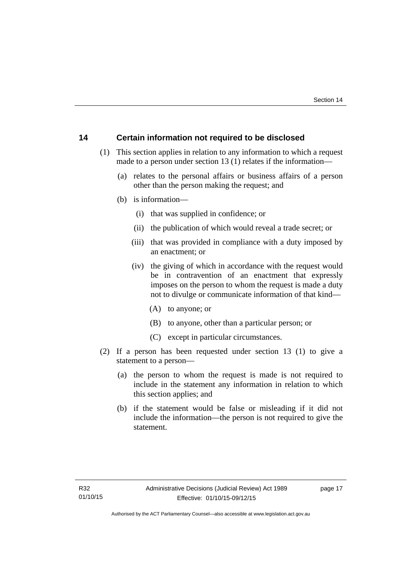#### <span id="page-20-0"></span>**14 Certain information not required to be disclosed**

- (1) This section applies in relation to any information to which a request made to a person under section 13 (1) relates if the information—
	- (a) relates to the personal affairs or business affairs of a person other than the person making the request; and
	- (b) is information—
		- (i) that was supplied in confidence; or
		- (ii) the publication of which would reveal a trade secret; or
		- (iii) that was provided in compliance with a duty imposed by an enactment; or
		- (iv) the giving of which in accordance with the request would be in contravention of an enactment that expressly imposes on the person to whom the request is made a duty not to divulge or communicate information of that kind—
			- (A) to anyone; or
			- (B) to anyone, other than a particular person; or
			- (C) except in particular circumstances.
- (2) If a person has been requested under section 13 (1) to give a statement to a person—
	- (a) the person to whom the request is made is not required to include in the statement any information in relation to which this section applies; and
	- (b) if the statement would be false or misleading if it did not include the information—the person is not required to give the statement.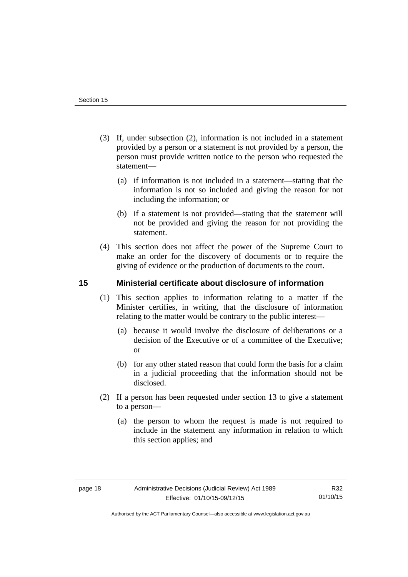- (3) If, under subsection (2), information is not included in a statement provided by a person or a statement is not provided by a person, the person must provide written notice to the person who requested the statement—
	- (a) if information is not included in a statement—stating that the information is not so included and giving the reason for not including the information; or
	- (b) if a statement is not provided—stating that the statement will not be provided and giving the reason for not providing the statement.
- (4) This section does not affect the power of the Supreme Court to make an order for the discovery of documents or to require the giving of evidence or the production of documents to the court.

#### <span id="page-21-0"></span>**15 Ministerial certificate about disclosure of information**

- (1) This section applies to information relating to a matter if the Minister certifies, in writing, that the disclosure of information relating to the matter would be contrary to the public interest—
	- (a) because it would involve the disclosure of deliberations or a decision of the Executive or of a committee of the Executive; or
	- (b) for any other stated reason that could form the basis for a claim in a judicial proceeding that the information should not be disclosed.
- (2) If a person has been requested under section 13 to give a statement to a person—
	- (a) the person to whom the request is made is not required to include in the statement any information in relation to which this section applies; and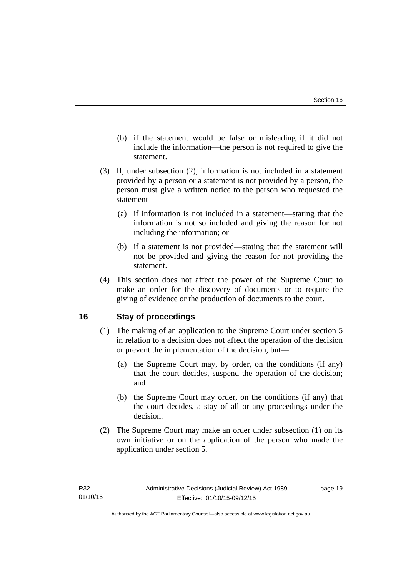- (b) if the statement would be false or misleading if it did not include the information—the person is not required to give the statement.
- (3) If, under subsection (2), information is not included in a statement provided by a person or a statement is not provided by a person, the person must give a written notice to the person who requested the statement—
	- (a) if information is not included in a statement—stating that the information is not so included and giving the reason for not including the information; or
	- (b) if a statement is not provided—stating that the statement will not be provided and giving the reason for not providing the statement.
- (4) This section does not affect the power of the Supreme Court to make an order for the discovery of documents or to require the giving of evidence or the production of documents to the court.

#### <span id="page-22-0"></span>**16 Stay of proceedings**

- (1) The making of an application to the Supreme Court under section 5 in relation to a decision does not affect the operation of the decision or prevent the implementation of the decision, but—
	- (a) the Supreme Court may, by order, on the conditions (if any) that the court decides, suspend the operation of the decision; and
	- (b) the Supreme Court may order, on the conditions (if any) that the court decides, a stay of all or any proceedings under the decision.
- (2) The Supreme Court may make an order under subsection (1) on its own initiative or on the application of the person who made the application under section 5.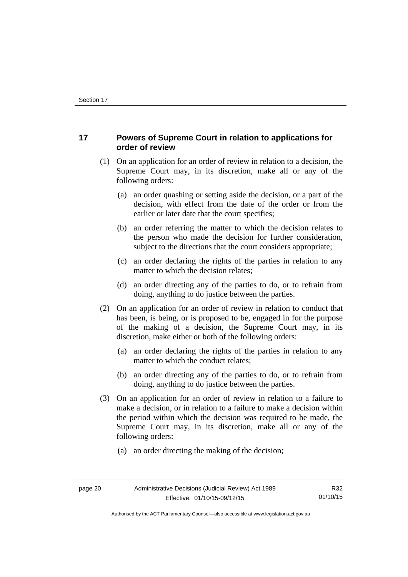#### <span id="page-23-0"></span>**17 Powers of Supreme Court in relation to applications for order of review**

- (1) On an application for an order of review in relation to a decision, the Supreme Court may, in its discretion, make all or any of the following orders:
	- (a) an order quashing or setting aside the decision, or a part of the decision, with effect from the date of the order or from the earlier or later date that the court specifies;
	- (b) an order referring the matter to which the decision relates to the person who made the decision for further consideration, subject to the directions that the court considers appropriate;
	- (c) an order declaring the rights of the parties in relation to any matter to which the decision relates;
	- (d) an order directing any of the parties to do, or to refrain from doing, anything to do justice between the parties.
- (2) On an application for an order of review in relation to conduct that has been, is being, or is proposed to be, engaged in for the purpose of the making of a decision, the Supreme Court may, in its discretion, make either or both of the following orders:
	- (a) an order declaring the rights of the parties in relation to any matter to which the conduct relates;
	- (b) an order directing any of the parties to do, or to refrain from doing, anything to do justice between the parties.
- (3) On an application for an order of review in relation to a failure to make a decision, or in relation to a failure to make a decision within the period within which the decision was required to be made, the Supreme Court may, in its discretion, make all or any of the following orders:
	- (a) an order directing the making of the decision;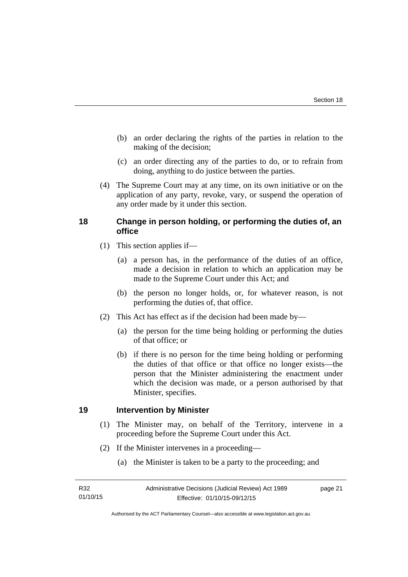- (b) an order declaring the rights of the parties in relation to the making of the decision;
- (c) an order directing any of the parties to do, or to refrain from doing, anything to do justice between the parties.
- (4) The Supreme Court may at any time, on its own initiative or on the application of any party, revoke, vary, or suspend the operation of any order made by it under this section.

#### <span id="page-24-0"></span>**18 Change in person holding, or performing the duties of, an office**

- (1) This section applies if—
	- (a) a person has, in the performance of the duties of an office, made a decision in relation to which an application may be made to the Supreme Court under this Act; and
	- (b) the person no longer holds, or, for whatever reason, is not performing the duties of, that office.
- (2) This Act has effect as if the decision had been made by—
	- (a) the person for the time being holding or performing the duties of that office; or
	- (b) if there is no person for the time being holding or performing the duties of that office or that office no longer exists—the person that the Minister administering the enactment under which the decision was made, or a person authorised by that Minister, specifies.

#### <span id="page-24-1"></span>**19 Intervention by Minister**

- (1) The Minister may, on behalf of the Territory, intervene in a proceeding before the Supreme Court under this Act.
- (2) If the Minister intervenes in a proceeding—
	- (a) the Minister is taken to be a party to the proceeding; and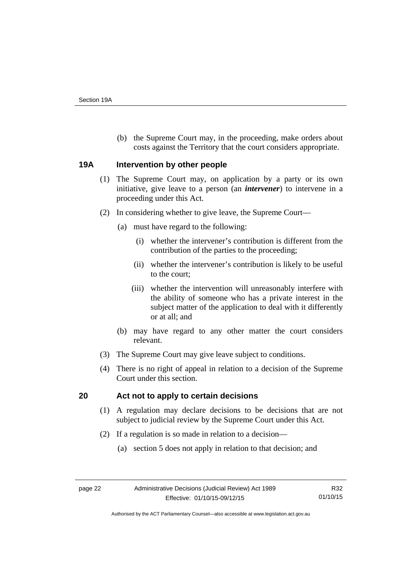(b) the Supreme Court may, in the proceeding, make orders about costs against the Territory that the court considers appropriate.

#### <span id="page-25-0"></span>**19A Intervention by other people**

- (1) The Supreme Court may, on application by a party or its own initiative, give leave to a person (an *intervener*) to intervene in a proceeding under this Act.
- (2) In considering whether to give leave, the Supreme Court—
	- (a) must have regard to the following:
		- (i) whether the intervener's contribution is different from the contribution of the parties to the proceeding;
		- (ii) whether the intervener's contribution is likely to be useful to the court;
		- (iii) whether the intervention will unreasonably interfere with the ability of someone who has a private interest in the subject matter of the application to deal with it differently or at all; and
	- (b) may have regard to any other matter the court considers relevant.
- (3) The Supreme Court may give leave subject to conditions.
- (4) There is no right of appeal in relation to a decision of the Supreme Court under this section.

### <span id="page-25-1"></span>**20 Act not to apply to certain decisions**

- (1) A regulation may declare decisions to be decisions that are not subject to judicial review by the Supreme Court under this Act.
- (2) If a regulation is so made in relation to a decision—
	- (a) section 5 does not apply in relation to that decision; and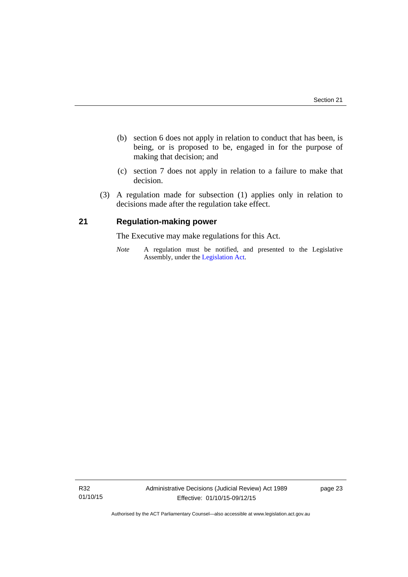- (b) section 6 does not apply in relation to conduct that has been, is being, or is proposed to be, engaged in for the purpose of making that decision; and
- (c) section 7 does not apply in relation to a failure to make that decision.
- (3) A regulation made for subsection (1) applies only in relation to decisions made after the regulation take effect.

#### <span id="page-26-0"></span>**21 Regulation-making power**

The Executive may make regulations for this Act.

*Note* A regulation must be notified, and presented to the Legislative Assembly, under the [Legislation Act](http://www.legislation.act.gov.au/a/2001-14).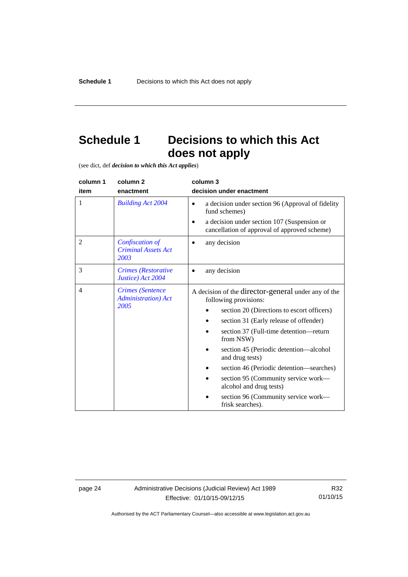# <span id="page-27-0"></span>**Schedule 1 Decisions to which this Act does not apply**

(see dict, def *decision to which this Act applies*)

| column 1       | column 2                                                       | column 3                                                                                                                                                                                                                                                                                                                                                                                                                                                          |
|----------------|----------------------------------------------------------------|-------------------------------------------------------------------------------------------------------------------------------------------------------------------------------------------------------------------------------------------------------------------------------------------------------------------------------------------------------------------------------------------------------------------------------------------------------------------|
| item           | enactment                                                      | decision under enactment                                                                                                                                                                                                                                                                                                                                                                                                                                          |
| 1              | <b>Building Act 2004</b>                                       | a decision under section 96 (Approval of fidelity<br>$\bullet$<br>fund schemes)<br>a decision under section 107 (Suspension or<br>cancellation of approval of approved scheme)                                                                                                                                                                                                                                                                                    |
| $\overline{2}$ | Confiscation of<br><b>Criminal Assets Act</b><br>2003          | any decision                                                                                                                                                                                                                                                                                                                                                                                                                                                      |
| 3              | Crimes (Restorative<br>Justice) Act 2004                       | any decision                                                                                                                                                                                                                                                                                                                                                                                                                                                      |
| $\overline{4}$ | <b>Crimes</b> (Sentence<br><b>Administration</b> ) Act<br>2005 | A decision of the director-general under any of the<br>following provisions:<br>section 20 (Directions to escort officers)<br>section 31 (Early release of offender)<br>section 37 (Full-time detention—return<br>from NSW)<br>section 45 (Periodic detention—alcohol<br>and drug tests)<br>section 46 (Periodic detention—searches)<br>section 95 (Community service work—<br>alcohol and drug tests)<br>section 96 (Community service work-<br>frisk searches). |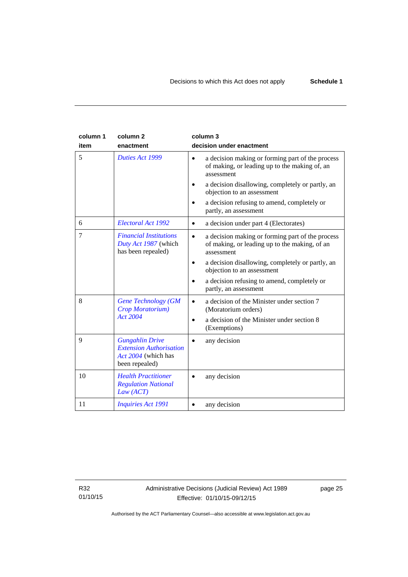| column 1<br>item | column <sub>2</sub><br>enactment                                                                  | column 3<br>decision under enactment                                                                                         |
|------------------|---------------------------------------------------------------------------------------------------|------------------------------------------------------------------------------------------------------------------------------|
| 5                | Duties Act 1999                                                                                   | a decision making or forming part of the process<br>$\bullet$<br>of making, or leading up to the making of, an<br>assessment |
|                  |                                                                                                   | a decision disallowing, completely or partly, an<br>objection to an assessment                                               |
|                  |                                                                                                   | a decision refusing to amend, completely or<br>partly, an assessment                                                         |
| 6                | Electoral Act 1992                                                                                | a decision under part 4 (Electorates)<br>$\bullet$                                                                           |
| 7                | <b>Financial Institutions</b><br>Duty Act 1987 (which<br>has been repealed)                       | a decision making or forming part of the process<br>$\bullet$<br>of making, or leading up to the making, of an<br>assessment |
|                  |                                                                                                   | a decision disallowing, completely or partly, an<br>٠<br>objection to an assessment                                          |
|                  |                                                                                                   | a decision refusing to amend, completely or<br>partly, an assessment                                                         |
| 8                | <b>Gene Technology (GM</b><br>Crop Moratorium)                                                    | a decision of the Minister under section 7<br>(Moratorium orders)                                                            |
|                  | <b>Act 2004</b>                                                                                   | a decision of the Minister under section 8<br>٠<br>(Exemptions)                                                              |
| 9                | <b>Gungahlin Drive</b><br><b>Extension Authorisation</b><br>Act 2004 (which has<br>been repealed) | any decision                                                                                                                 |
| 10               | <b>Health Practitioner</b><br><b>Regulation National</b><br>Law (ACT)                             | any decision                                                                                                                 |
| 11               | <b>Inquiries Act 1991</b>                                                                         | any decision                                                                                                                 |

R32 01/10/15 page 25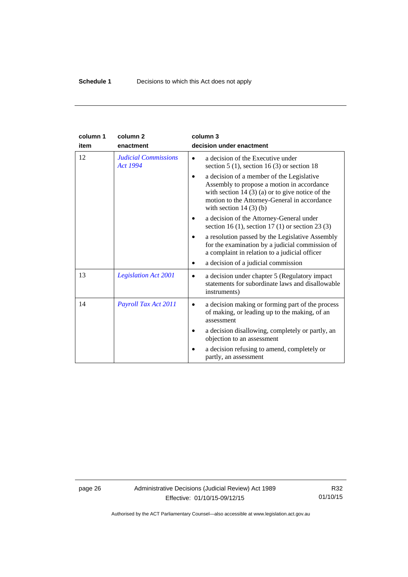| column 1 | column <sub>2</sub>                            | column 3                                                                                                                                                                                                               |
|----------|------------------------------------------------|------------------------------------------------------------------------------------------------------------------------------------------------------------------------------------------------------------------------|
| item     | enactment                                      | decision under enactment                                                                                                                                                                                               |
| 12       | <b>Judicial Commissions</b><br><b>Act 1994</b> | a decision of the Executive under<br>section $5(1)$ , section $16(3)$ or section 18                                                                                                                                    |
|          |                                                | a decision of a member of the Legislative<br>Assembly to propose a motion in accordance<br>with section $14(3)(a)$ or to give notice of the<br>motion to the Attorney-General in accordance<br>with section $14(3)(b)$ |
|          |                                                | a decision of the Attorney-General under<br>section 16 (1), section 17 (1) or section 23 (3)                                                                                                                           |
|          |                                                | a resolution passed by the Legislative Assembly<br>for the examination by a judicial commission of<br>a complaint in relation to a judicial officer                                                                    |
|          |                                                | a decision of a judicial commission                                                                                                                                                                                    |
| 13       | <b>Legislation Act 2001</b>                    | a decision under chapter 5 (Regulatory impact)<br>$\bullet$<br>statements for subordinate laws and disallowable<br>instruments)                                                                                        |
| 14       | Payroll Tax Act 2011                           | a decision making or forming part of the process<br>of making, or leading up to the making, of an<br>assessment                                                                                                        |
|          |                                                | a decision disallowing, completely or partly, an<br>objection to an assessment                                                                                                                                         |
|          |                                                | a decision refusing to amend, completely or<br>partly, an assessment                                                                                                                                                   |

page 26 Administrative Decisions (Judicial Review) Act 1989 Effective: 01/10/15-09/12/15

R32 01/10/15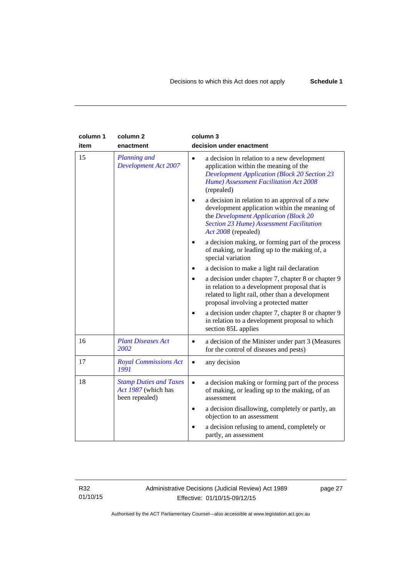| column 1<br>item | column <sub>2</sub><br>enactment                                       | column 3<br>decision under enactment                                                                                                                                                                               |
|------------------|------------------------------------------------------------------------|--------------------------------------------------------------------------------------------------------------------------------------------------------------------------------------------------------------------|
| 15               | <b>Planning and</b><br><b>Development Act 2007</b>                     | a decision in relation to a new development<br>$\bullet$<br>application within the meaning of the<br><b>Development Application (Block 20 Section 23</b><br>Hume) Assessment Facilitation Act 2008<br>(repealed)   |
|                  |                                                                        | a decision in relation to an approval of a new<br>development application within the meaning of<br>the Development Application (Block 20<br><b>Section 23 Hume) Assessment Facilitation</b><br>Act 2008 (repealed) |
|                  |                                                                        | a decision making, or forming part of the process<br>of making, or leading up to the making of, a<br>special variation                                                                                             |
|                  |                                                                        | a decision to make a light rail declaration                                                                                                                                                                        |
|                  |                                                                        | a decision under chapter 7, chapter 8 or chapter 9<br>in relation to a development proposal that is<br>related to light rail, other than a development<br>proposal involving a protected matter                    |
|                  |                                                                        | a decision under chapter 7, chapter 8 or chapter 9<br>in relation to a development proposal to which<br>section 85L applies                                                                                        |
| 16               | <b>Plant Diseases Act</b><br>2002                                      | a decision of the Minister under part 3 (Measures<br>$\bullet$<br>for the control of diseases and pests)                                                                                                           |
| 17               | <b>Royal Commissions Act</b><br>1991                                   | any decision<br>$\bullet$                                                                                                                                                                                          |
| 18               | <b>Stamp Duties and Taxes</b><br>Act 1987 (which has<br>been repealed) | a decision making or forming part of the process<br>$\bullet$<br>of making, or leading up to the making, of an<br>assessment                                                                                       |
|                  |                                                                        | a decision disallowing, completely or partly, an<br>$\bullet$<br>objection to an assessment                                                                                                                        |
|                  |                                                                        | a decision refusing to amend, completely or<br>partly, an assessment                                                                                                                                               |

R32 01/10/15 Administrative Decisions (Judicial Review) Act 1989 Effective: 01/10/15-09/12/15

page 27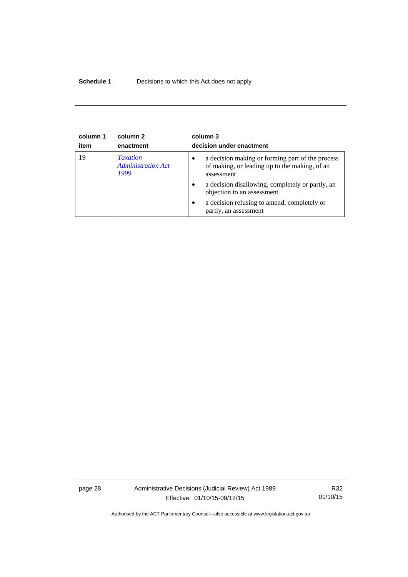#### **Schedule 1** Decisions to which this Act does not apply

| column 1<br>item | column 2<br>enactment                                | column 3<br>decision under enactment                                                                                         |
|------------------|------------------------------------------------------|------------------------------------------------------------------------------------------------------------------------------|
| 19               | <b>Taxation</b><br><b>Administration Act</b><br>1999 | a decision making or forming part of the process<br>$\bullet$<br>of making, or leading up to the making, of an<br>assessment |
|                  |                                                      | a decision disallowing, completely or partly, an<br>$\bullet$<br>objection to an assessment                                  |
|                  |                                                      | a decision refusing to amend, completely or<br>$\bullet$<br>partly, an assessment                                            |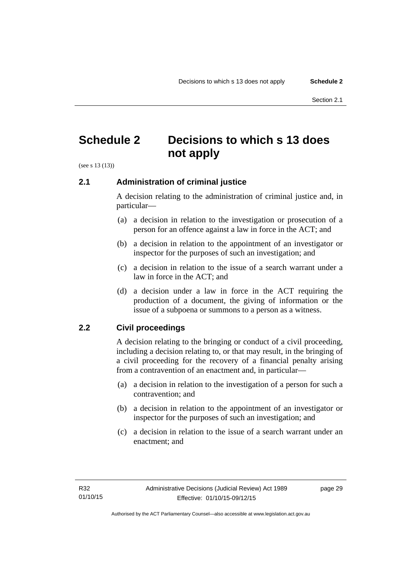## <span id="page-32-0"></span>**Schedule 2 Decisions to which s 13 does not apply**

(see s 13 (13))

#### <span id="page-32-1"></span>**2.1 Administration of criminal justice**

A decision relating to the administration of criminal justice and, in particular—

- (a) a decision in relation to the investigation or prosecution of a person for an offence against a law in force in the ACT; and
- (b) a decision in relation to the appointment of an investigator or inspector for the purposes of such an investigation; and
- (c) a decision in relation to the issue of a search warrant under a law in force in the ACT; and
- (d) a decision under a law in force in the ACT requiring the production of a document, the giving of information or the issue of a subpoena or summons to a person as a witness.

#### <span id="page-32-2"></span>**2.2 Civil proceedings**

A decision relating to the bringing or conduct of a civil proceeding, including a decision relating to, or that may result, in the bringing of a civil proceeding for the recovery of a financial penalty arising from a contravention of an enactment and, in particular—

- (a) a decision in relation to the investigation of a person for such a contravention; and
- (b) a decision in relation to the appointment of an investigator or inspector for the purposes of such an investigation; and
- (c) a decision in relation to the issue of a search warrant under an enactment; and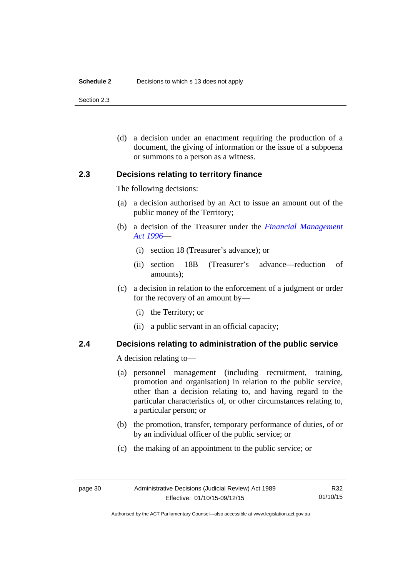#### **Schedule 2** Decisions to which s 13 does not apply

Section 2.3

 (d) a decision under an enactment requiring the production of a document, the giving of information or the issue of a subpoena or summons to a person as a witness.

#### <span id="page-33-0"></span>**2.3 Decisions relating to territory finance**

The following decisions:

- (a) a decision authorised by an Act to issue an amount out of the public money of the Territory;
- (b) a decision of the Treasurer under the *[Financial Management](http://www.legislation.act.gov.au/a/1996-22)  [Act 1996](http://www.legislation.act.gov.au/a/1996-22)*—
	- (i) section 18 (Treasurer's advance); or
	- (ii) section 18B (Treasurer's advance—reduction of amounts);
- (c) a decision in relation to the enforcement of a judgment or order for the recovery of an amount by—
	- (i) the Territory; or
	- (ii) a public servant in an official capacity;

#### <span id="page-33-1"></span>**2.4 Decisions relating to administration of the public service**

A decision relating to—

- (a) personnel management (including recruitment, training, promotion and organisation) in relation to the public service, other than a decision relating to, and having regard to the particular characteristics of, or other circumstances relating to, a particular person; or
- (b) the promotion, transfer, temporary performance of duties, of or by an individual officer of the public service; or
- (c) the making of an appointment to the public service; or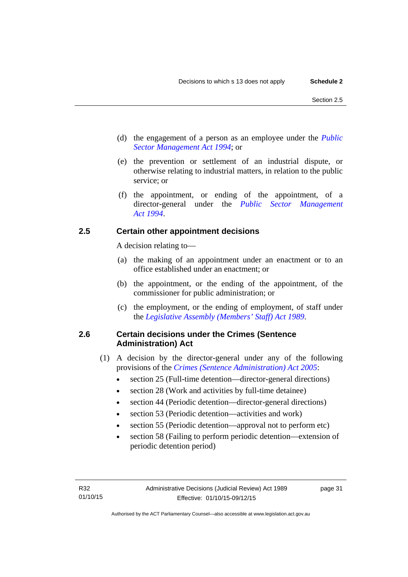- (d) the engagement of a person as an employee under the *[Public](http://www.legislation.act.gov.au/a/1994-37)  [Sector Management Act 1994](http://www.legislation.act.gov.au/a/1994-37)*; or
- (e) the prevention or settlement of an industrial dispute, or otherwise relating to industrial matters, in relation to the public service; or
- (f) the appointment, or ending of the appointment, of a director-general under the *[Public Sector Management](http://www.legislation.act.gov.au/a/1994-37)  [Act 1994](http://www.legislation.act.gov.au/a/1994-37)*.

#### <span id="page-34-0"></span>**2.5 Certain other appointment decisions**

A decision relating to—

- (a) the making of an appointment under an enactment or to an office established under an enactment; or
- (b) the appointment, or the ending of the appointment, of the commissioner for public administration; or
- (c) the employment, or the ending of employment, of staff under the *[Legislative Assembly \(Members' Staff\) Act 1989](http://www.legislation.act.gov.au/a/1989-19)*.

#### <span id="page-34-1"></span>**2.6 Certain decisions under the Crimes (Sentence Administration) Act**

- (1) A decision by the director-general under any of the following provisions of the *[Crimes \(Sentence Administration\) Act 2005](http://www.legislation.act.gov.au/a/2005-59)*:
	- section 25 (Full-time detention—director-general directions)
	- section 28 (Work and activities by full-time detainee)
	- section 44 (Periodic detention—director-general directions)
	- section 53 (Periodic detention—activities and work)
	- section 55 (Periodic detention—approval not to perform etc)
	- section 58 (Failing to perform periodic detention—extension of periodic detention period)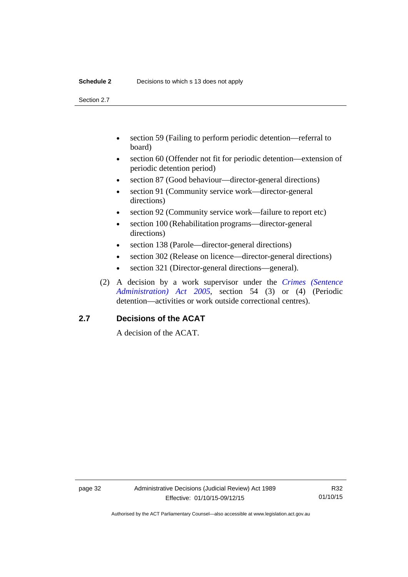#### **Schedule 2** Decisions to which s 13 does not apply

Section 2.7

- section 59 (Failing to perform periodic detention—referral to board)
- section 60 (Offender not fit for periodic detention—extension of periodic detention period)
- section 87 (Good behaviour—director-general directions)
- section 91 (Community service work—director-general directions)
- section 92 (Community service work—failure to report etc)
- section 100 (Rehabilitation programs—director-general directions)
- section 138 (Parole—director-general directions)
- section 302 (Release on licence—director-general directions)
- section 321 (Director-general directions—general).
- (2) A decision by a work supervisor under the *[Crimes \(Sentence](http://www.legislation.act.gov.au/a/2005-59)  [Administration\) Act 2005](http://www.legislation.act.gov.au/a/2005-59)*, section 54 (3) or (4) (Periodic detention—activities or work outside correctional centres).

#### <span id="page-35-0"></span>**2.7 Decisions of the ACAT**

A decision of the ACAT.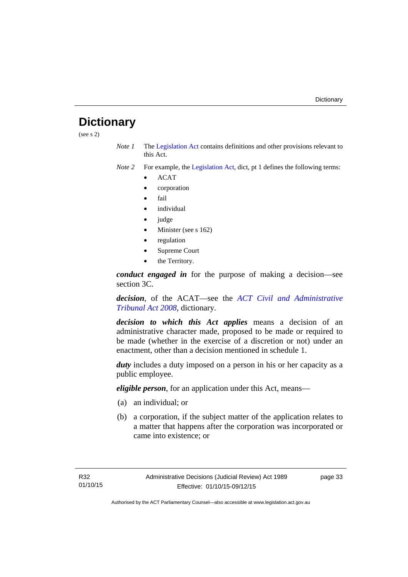## <span id="page-36-0"></span>**Dictionary**

(see s 2)

*Note 1* The [Legislation Act](http://www.legislation.act.gov.au/a/2001-14) contains definitions and other provisions relevant to this Act.

*Note 2* For example, the [Legislation Act,](http://www.legislation.act.gov.au/a/2001-14) dict, pt 1 defines the following terms:

- ACAT
- corporation
- fail
- *individual*
- judge
- Minister (see s 162)
- regulation
- Supreme Court
- the Territory.

*conduct engaged in* for the purpose of making a decision—see section 3C.

*decision*, of the ACAT—see the *[ACT Civil and Administrative](http://www.legislation.act.gov.au/a/2008-35)  [Tribunal Act 2008](http://www.legislation.act.gov.au/a/2008-35)*, dictionary.

*decision to which this Act applies* means a decision of an administrative character made, proposed to be made or required to be made (whether in the exercise of a discretion or not) under an enactment, other than a decision mentioned in schedule 1.

*duty* includes a duty imposed on a person in his or her capacity as a public employee.

*eligible person*, for an application under this Act, means—

- (a) an individual; or
- (b) a corporation, if the subject matter of the application relates to a matter that happens after the corporation was incorporated or came into existence; or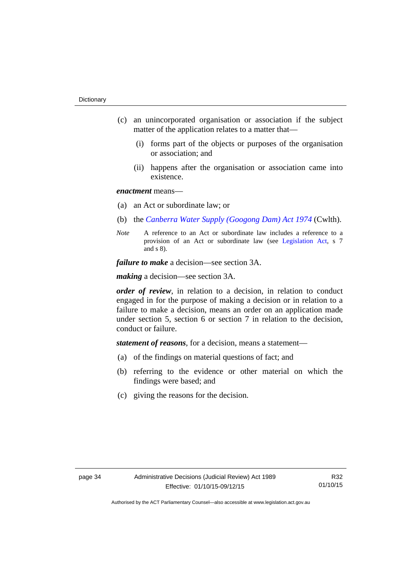- (c) an unincorporated organisation or association if the subject matter of the application relates to a matter that—
	- (i) forms part of the objects or purposes of the organisation or association; and
	- (ii) happens after the organisation or association came into existence.

#### *enactment* means—

- (a) an Act or subordinate law; or
- (b) the *[Canberra Water Supply \(Googong Dam\) Act 1974](http://www.comlaw.gov.au/Details/C2008C00317)* (Cwlth).
- *Note* A reference to an Act or subordinate law includes a reference to a provision of an Act or subordinate law (see [Legislation Act](http://www.legislation.act.gov.au/a/2001-14), s 7 and s 8).

*failure to make* a decision—see section 3A.

*making* a decision—see section 3A.

*order of review*, in relation to a decision, in relation to conduct engaged in for the purpose of making a decision or in relation to a failure to make a decision, means an order on an application made under section 5, section 6 or section 7 in relation to the decision, conduct or failure.

*statement of reasons*, for a decision, means a statement—

- (a) of the findings on material questions of fact; and
- (b) referring to the evidence or other material on which the findings were based; and
- (c) giving the reasons for the decision.

R32 01/10/15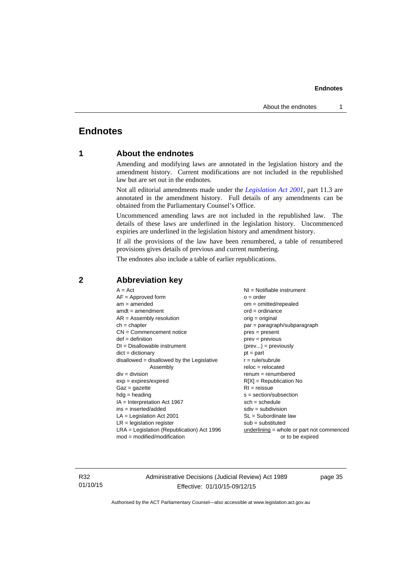### <span id="page-38-0"></span>**Endnotes**

#### **1 About the endnotes**

Amending and modifying laws are annotated in the legislation history and the amendment history. Current modifications are not included in the republished law but are set out in the endnotes.

Not all editorial amendments made under the *[Legislation Act 2001](http://www.legislation.act.gov.au/a/2001-14)*, part 11.3 are annotated in the amendment history. Full details of any amendments can be obtained from the Parliamentary Counsel's Office.

Uncommenced amending laws are not included in the republished law. The details of these laws are underlined in the legislation history. Uncommenced expiries are underlined in the legislation history and amendment history.

If all the provisions of the law have been renumbered, a table of renumbered provisions gives details of previous and current numbering.

The endnotes also include a table of earlier republications.

| $A = Act$                                    | NI = Notifiable instrument                  |
|----------------------------------------------|---------------------------------------------|
| $AF =$ Approved form                         | $o = order$                                 |
| $am = amended$                               | om = omitted/repealed                       |
| $amdt = amendment$                           | $ord = ordinance$                           |
| $AR = Assembly resolution$                   | orig = original                             |
| $ch = chapter$                               | par = paragraph/subparagraph                |
| $CN =$ Commencement notice                   | $pres = present$                            |
| $def = definition$                           | $prev = previous$                           |
| $DI = Disallowable instrument$               | $(\text{prev}) = \text{previously}$         |
| $dict = dictionary$                          | $pt = part$                                 |
| $disallowed = disallowed by the Legislative$ | $r = rule/subrule$                          |
| Assembly                                     | $reloc = relocated$                         |
| $div = division$                             | $renum = renumbered$                        |
| $exp = expires/expired$                      | $R[X]$ = Republication No                   |
| $Gaz = gazette$                              | $RI =$ reissue                              |
| $hdg =$ heading                              | s = section/subsection                      |
| $IA = Interpretation Act 1967$               | $sch = schedule$                            |
| $ins = inserted/added$                       | $sdiv = subdivision$                        |
| $LA =$ Legislation Act 2001                  | $SL = Subordinate$ law                      |
| $LR =$ legislation register                  | $sub =$ substituted                         |
| $LRA =$ Legislation (Republication) Act 1996 | $underlining = whole or part not commenced$ |
| $mod = modified/modification$                | or to be expired                            |
|                                              |                                             |

#### <span id="page-38-2"></span>**2 Abbreviation key**

R32 01/10/15 Administrative Decisions (Judicial Review) Act 1989 Effective: 01/10/15-09/12/15

<span id="page-38-1"></span>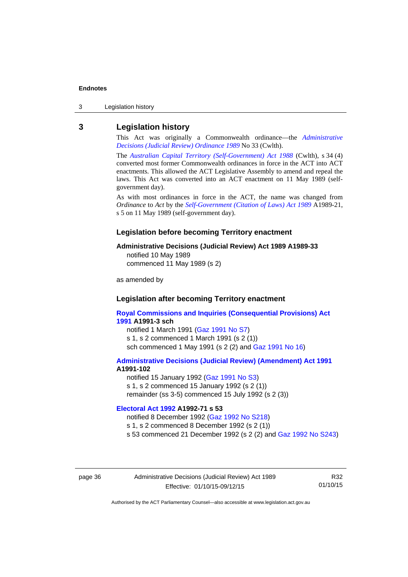3 Legislation history

#### <span id="page-39-0"></span>**3 Legislation history**

This Act was originally a Commonwealth ordinance—the *[Administrative](http://www.legislation.act.gov.au/a/alt_a1989-33co)  [Decisions \(Judicial Review\) Ordinance 1989](http://www.legislation.act.gov.au/a/alt_a1989-33co)* No 33 (Cwlth).

The *[Australian Capital Territory \(Self-Government\) Act 1988](http://www.comlaw.gov.au/Current/C2004A03699)* (Cwlth), s 34 (4) converted most former Commonwealth ordinances in force in the ACT into ACT enactments. This allowed the ACT Legislative Assembly to amend and repeal the laws. This Act was converted into an ACT enactment on 11 May 1989 (selfgovernment day).

As with most ordinances in force in the ACT, the name was changed from *Ordinance* to *Act* by the *[Self-Government \(Citation of Laws\) Act 1989](http://www.legislation.act.gov.au/a/alt_ord1989-21/default.asp)* A1989-21, s 5 on 11 May 1989 (self-government day).

#### **Legislation before becoming Territory enactment**

#### **Administrative Decisions (Judicial Review) Act 1989 A1989-33**

notified 10 May 1989 commenced 11 May 1989 (s 2)

as amended by

#### **Legislation after becoming Territory enactment**

**[Royal Commissions and Inquiries \(Consequential Provisions\) Act](http://www.legislation.act.gov.au/a/1991-3)  [1991](http://www.legislation.act.gov.au/a/1991-3) A1991-3 sch**  notified 1 March 1991 [\(Gaz 1991 No S7](http://www.legislation.act.gov.au/gaz/1991-S7/default.asp)) s 1, s 2 commenced 1 March 1991 (s 2 (1))

sch commenced 1 May 1991 (s 2 (2) and [Gaz 1991 No 16](http://www.legislation.act.gov.au/gaz/1991-16/default.asp))

#### **[Administrative Decisions \(Judicial Review\) \(Amendment\) Act 1991](http://www.legislation.act.gov.au/a/1991-102) A1991-102**

notified 15 January 1992 ([Gaz 1991 No S3\)](http://www.legislation.act.gov.au/gaz/1991-S3/default.asp) s 1, s 2 commenced 15 January 1992 (s 2 (1)) remainder (ss 3-5) commenced 15 July 1992 (s 2 (3))

#### **[Electoral Act 1992](http://www.legislation.act.gov.au/a/1992-71) A1992-71 s 53**

notified 8 December 1992 ([Gaz 1992 No S218\)](http://www.legislation.act.gov.au/gaz/1992-S218/default.asp) s 1, s 2 commenced 8 December 1992 (s 2 (1)) s 53 commenced 21 December 1992 (s 2 (2) and [Gaz 1992 No S243\)](http://www.legislation.act.gov.au/gaz/1992-S243/default.asp)

page 36 Administrative Decisions (Judicial Review) Act 1989 Effective: 01/10/15-09/12/15

R32 01/10/15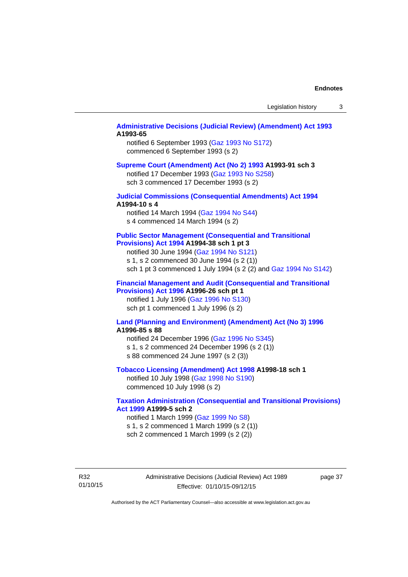#### **[Administrative Decisions \(Judicial Review\) \(Amendment\) Act 1993](http://www.legislation.act.gov.au/a/1993-65) A1993-65**

notified 6 September 1993 [\(Gaz 1993 No S172\)](http://www.legislation.act.gov.au/gaz/1993-S172/default.asp) commenced 6 September 1993 (s 2)

#### **[Supreme Court \(Amendment\) Act \(No 2\) 1993](http://www.legislation.act.gov.au/a/1993-91) A1993-91 sch 3**

notified 17 December 1993 [\(Gaz 1993 No S258](http://www.legislation.act.gov.au/gaz/1993-S258/default.asp)) sch 3 commenced 17 December 1993 (s 2)

#### **[Judicial Commissions \(Consequential Amendments\) Act 1994](http://www.legislation.act.gov.au/a/1994-10) A1994-10 s 4**

notified 14 March 1994 ([Gaz 1994 No S44](http://www.legislation.act.gov.au/gaz/1994-S44/default.asp)) s 4 commenced 14 March 1994 (s 2)

#### **[Public Sector Management \(Consequential and Transitional](http://www.legislation.act.gov.au/a/1994-38)  [Provisions\) Act 1994](http://www.legislation.act.gov.au/a/1994-38) A1994-38 sch 1 pt 3**

notified 30 June 1994 ([Gaz 1994 No S121\)](http://www.legislation.act.gov.au/gaz/1994-S121/default.asp)

s 1, s 2 commenced 30 June 1994 (s 2 (1))

sch 1 pt 3 commenced 1 July 1994 (s 2 (2) and [Gaz 1994 No S142](http://www.legislation.act.gov.au/gaz/1994-S142/default.asp))

#### **[Financial Management and Audit \(Consequential and Transitional](http://www.legislation.act.gov.au/a/1996-26)  [Provisions\) Act 1996](http://www.legislation.act.gov.au/a/1996-26) A1996-26 sch pt 1**

notified 1 July 1996 [\(Gaz 1996 No S130](http://www.legislation.act.gov.au/gaz/1996-S130/default.asp)) sch pt 1 commenced 1 July 1996 (s 2)

#### **[Land \(Planning and Environment\) \(Amendment\) Act \(No 3\) 1996](http://www.legislation.act.gov.au/a/1996-85) A1996-85 s 88**

notified 24 December 1996 [\(Gaz 1996 No S345](http://www.legislation.act.gov.au/gaz/1996-S345/default.asp)) s 1, s 2 commenced 24 December 1996 (s 2 (1)) s 88 commenced 24 June 1997 (s 2 (3))

#### **[Tobacco Licensing \(Amendment\) Act 1998](http://www.legislation.act.gov.au/a/1998-18) A1998-18 sch 1**

notified 10 July 1998 ([Gaz 1998 No S190\)](http://www.legislation.act.gov.au/gaz/1998-S190/default.asp) commenced 10 July 1998 (s 2)

#### **[Taxation Administration \(Consequential and Transitional Provisions\)](http://www.legislation.act.gov.au/a/1999-5)  [Act 1999](http://www.legislation.act.gov.au/a/1999-5) A1999-5 sch 2**

notified 1 March 1999 [\(Gaz 1999 No S8](http://www.legislation.act.gov.au/gaz/1999-S8/default.asp)) s 1, s 2 commenced 1 March 1999 (s 2 (1)) sch 2 commenced 1 March 1999 (s 2 (2))

R32 01/10/15 Administrative Decisions (Judicial Review) Act 1989 Effective: 01/10/15-09/12/15

page 37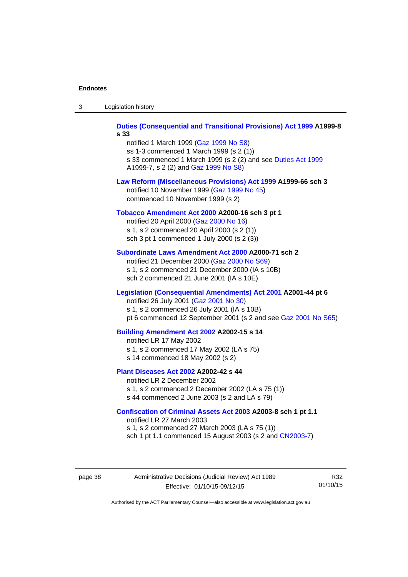| -3 | Legislation history |  |
|----|---------------------|--|
|----|---------------------|--|

**[Duties \(Consequential and Transitional Provisions\) Act 1999](http://www.legislation.act.gov.au/a/1999-8) A1999-8 s 33** 

notified 1 March 1999 [\(Gaz 1999 No S8](http://www.legislation.act.gov.au/gaz/1999-S8/default.asp)) ss 1-3 commenced 1 March 1999 (s 2 (1)) s 33 commenced 1 March 1999 (s 2 (2) and see [Duties Act 1999](http://www.legislation.act.gov.au/a/1999-7) A1999-7, s 2 (2) and [Gaz 1999 No S8\)](http://www.legislation.act.gov.au/gaz/1999-S8/default.asp)

#### **[Law Reform \(Miscellaneous Provisions\) Act 1999](http://www.legislation.act.gov.au/a/1999-66) A1999-66 sch 3**  notified 10 November 1999 [\(Gaz 1999 No 45](http://www.legislation.act.gov.au/gaz/1999-45/default.asp))

commenced 10 November 1999 (s 2)

#### **[Tobacco Amendment Act 2000](http://www.legislation.act.gov.au/a/2000-16) A2000-16 sch 3 pt 1**

notified 20 April 2000 [\(Gaz 2000 No 16\)](http://www.legislation.act.gov.au/gaz/2000-16/default.asp) s 1, s 2 commenced 20 April 2000 (s 2 (1)) sch 3 pt 1 commenced 1 July 2000 (s 2 (3))

#### **[Subordinate Laws Amendment Act 2000](http://www.legislation.act.gov.au/a/2000-71) A2000-71 sch 2**

notified 21 December 2000 [\(Gaz 2000 No S69\)](http://www.legislation.act.gov.au/gaz/2000-S69/default.asp) s 1, s 2 commenced 21 December 2000 (IA s 10B) sch 2 commenced 21 June 2001 (IA s 10E)

#### **[Legislation \(Consequential Amendments\) Act 2001](http://www.legislation.act.gov.au/a/2001-44) A2001-44 pt 6**

notified 26 July 2001 ([Gaz 2001 No 30\)](http://www.legislation.act.gov.au/gaz/2001-30/default.asp)

s 1, s 2 commenced 26 July 2001 (IA s 10B)

pt 6 commenced 12 September 2001 (s 2 and see [Gaz 2001 No S65\)](http://www.legislation.act.gov.au/gaz/2001-S65/default.asp)

#### **[Building Amendment Act 2002](http://www.legislation.act.gov.au/a/2002-15) A2002-15 s 14**

notified LR 17 May 2002

- s 1, s 2 commenced 17 May 2002 (LA s 75)
- s 14 commenced 18 May 2002 (s 2)

#### **[Plant Diseases Act 2002](http://www.legislation.act.gov.au/a/2002-42) A2002-42 s 44**

notified LR 2 December 2002 s 1, s 2 commenced 2 December 2002 (LA s 75 (1)) s 44 commenced 2 June 2003 (s 2 and LA s 79)

#### **[Confiscation of Criminal Assets Act 2003](http://www.legislation.act.gov.au/a/2003-8) A2003-8 sch 1 pt 1.1**

notified LR 27 March 2003 s 1, s 2 commenced 27 March 2003 (LA s 75 (1)) sch 1 pt 1.1 commenced 15 August 2003 (s 2 and [CN2003-7](http://www.legislation.act.gov.au/cn/2003-7/default.asp))

page 38 Administrative Decisions (Judicial Review) Act 1989 Effective: 01/10/15-09/12/15

R32 01/10/15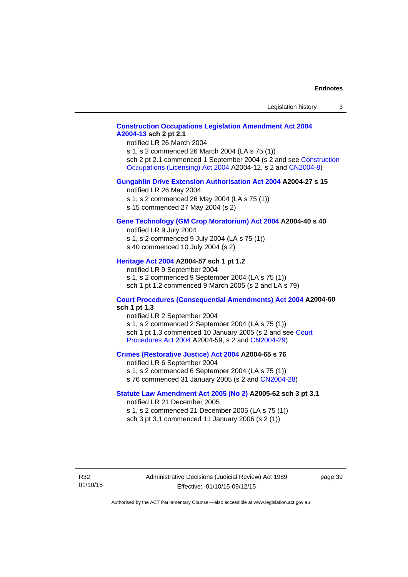#### **[Construction Occupations Legislation Amendment Act 2004](http://www.legislation.act.gov.au/a/2004-13)  [A2004-13](http://www.legislation.act.gov.au/a/2004-13) sch 2 pt 2.1**

notified LR 26 March 2004

s 1, s 2 commenced 26 March 2004 (LA s 75 (1)) sch 2 pt 2.1 commenced 1 September 2004 (s 2 and see [Construction](http://www.legislation.act.gov.au/a/2004-12)  [Occupations \(Licensing\) Act 2004](http://www.legislation.act.gov.au/a/2004-12) A2004-12, s 2 and [CN2004-8\)](http://www.legislation.act.gov.au/cn/2004-8/default.asp)

#### **[Gungahlin Drive Extension Authorisation Act 2004](http://www.legislation.act.gov.au/a/2004-27) A2004-27 s 15**

notified LR 26 May 2004

- s 1, s 2 commenced 26 May 2004 (LA s 75 (1))
- s 15 commenced 27 May 2004 (s 2)

#### **[Gene Technology \(GM Crop Moratorium\) Act 2004](http://www.legislation.act.gov.au/a/2004-40) A2004-40 s 40**

notified LR 9 July 2004

- s 1, s 2 commenced 9 July 2004 (LA s 75 (1)) s 40 commenced 10 July 2004 (s 2)
- 

#### **[Heritage Act 2004](http://www.legislation.act.gov.au/a/2004-57) A2004-57 sch 1 pt 1.2**

notified LR 9 September 2004 s 1, s 2 commenced 9 September 2004 (LA s 75 (1)) sch 1 pt 1.2 commenced 9 March 2005 (s 2 and LA s 79)

#### **[Court Procedures \(Consequential Amendments\) Act 2004](http://www.legislation.act.gov.au/a/2004-60) A2004-60 sch 1 pt 1.3**

notified LR 2 September 2004 s 1, s 2 commenced 2 September 2004 (LA s 75 (1)) sch 1 pt 1.3 commenced 10 January 2005 (s 2 and see [Court](http://www.legislation.act.gov.au/a/2004-59)  [Procedures Act 2004](http://www.legislation.act.gov.au/a/2004-59) A2004-59, s 2 and [CN2004-29\)](http://www.legislation.act.gov.au/cn/2004-29/default.asp)

#### **[Crimes \(Restorative Justice\) Act 2004](http://www.legislation.act.gov.au/a/2004-65) A2004-65 s 76**

notified LR 6 September 2004 s 1, s 2 commenced 6 September 2004 (LA s 75 (1)) s 76 commenced 31 January 2005 (s 2 and [CN2004-28](http://www.legislation.act.gov.au/cn/2004-28/default.asp))

#### **[Statute Law Amendment Act 2005 \(No 2\)](http://www.legislation.act.gov.au/a/2005-62) A2005-62 sch 3 pt 3.1**

notified LR 21 December 2005 s 1, s 2 commenced 21 December 2005 (LA s 75 (1)) sch 3 pt 3.1 commenced 11 January 2006 (s 2 (1))

R32 01/10/15 Administrative Decisions (Judicial Review) Act 1989 Effective: 01/10/15-09/12/15

page 39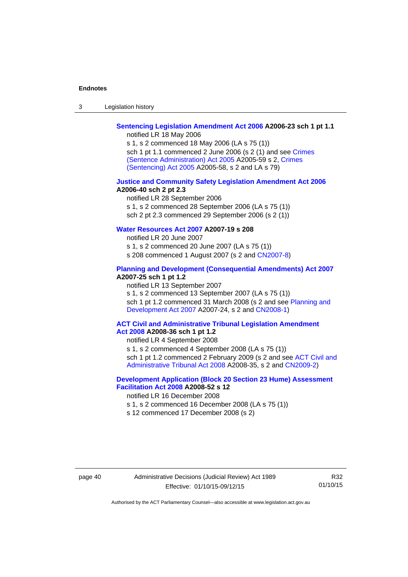| $\sqrt{2}$<br>- 3 | Legislation history |  |
|-------------------|---------------------|--|
|-------------------|---------------------|--|

## **[Sentencing Legislation Amendment Act 2006](http://www.legislation.act.gov.au/a/2006-23) A2006-23 sch 1 pt 1.1**

notified LR 18 May 2006

s 1, s 2 commenced 18 May 2006 (LA s 75 (1)) sch 1 pt 1.1 commenced 2 June 2006 (s 2 (1) and see [Crimes](http://www.legislation.act.gov.au/a/2005-59)  [\(Sentence Administration\) Act 2005](http://www.legislation.act.gov.au/a/2005-59) A2005-59 s 2, [Crimes](http://www.legislation.act.gov.au/a/2005-58)  [\(Sentencing\) Act 2005](http://www.legislation.act.gov.au/a/2005-58) A2005-58, s 2 and LA s 79)

#### **[Justice and Community Safety Legislation Amendment Act 2006](http://www.legislation.act.gov.au/a/2006-40) A2006-40 sch 2 pt 2.3**

notified LR 28 September 2006 s 1, s 2 commenced 28 September 2006 (LA s 75 (1)) sch 2 pt 2.3 commenced 29 September 2006 (s 2 (1))

#### **[Water Resources Act 2007](http://www.legislation.act.gov.au/a/2007-19) A2007-19 s 208**

notified LR 20 June 2007 s 1, s 2 commenced 20 June 2007 (LA s 75 (1)) s 208 commenced 1 August 2007 (s 2 and [CN2007-8](http://www.legislation.act.gov.au/cn/2007-8/default.asp))

#### **[Planning and Development \(Consequential Amendments\) Act 2007](http://www.legislation.act.gov.au/a/2007-25) A2007-25 sch 1 pt 1.2**

notified LR 13 September 2007

s 1, s 2 commenced 13 September 2007 (LA s 75 (1)) sch 1 pt 1.2 commenced 31 March 2008 (s 2 and see Planning and [Development Act 2007](http://www.legislation.act.gov.au/a/2007-24) A2007-24, s 2 and [CN2008-1](http://www.legislation.act.gov.au/cn/2008-1/default.asp))

#### **[ACT Civil and Administrative Tribunal Legislation Amendment](http://www.legislation.act.gov.au/a/2008-36)  [Act 2008](http://www.legislation.act.gov.au/a/2008-36) A2008-36 sch 1 pt 1.2**

notified LR 4 September 2008

s 1, s 2 commenced 4 September 2008 (LA s 75 (1))

sch 1 pt 1.2 commenced 2 February 2009 (s 2 and see [ACT Civil and](http://www.legislation.act.gov.au/a/2008-35)  [Administrative Tribunal Act 2008](http://www.legislation.act.gov.au/a/2008-35) A2008-35, s 2 and [CN2009-2\)](http://www.legislation.act.gov.au/cn/2009-2/default.asp)

#### **[Development Application \(Block 20 Section 23 Hume\) Assessment](http://www.legislation.act.gov.au/a/2008-52)  [Facilitation Act 2008](http://www.legislation.act.gov.au/a/2008-52) A2008-52 s 12**

notified LR 16 December 2008

- s 1, s 2 commenced 16 December 2008 (LA s 75 (1))
- s 12 commenced 17 December 2008 (s 2)

R32 01/10/15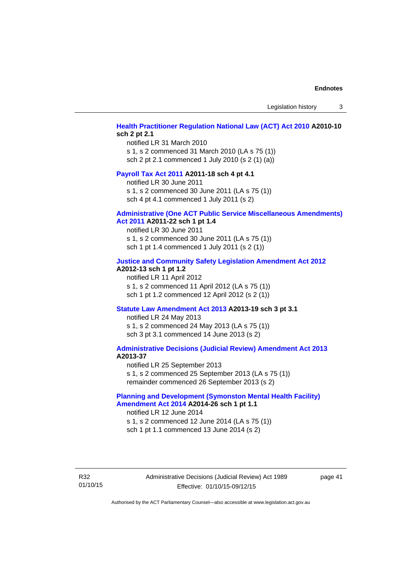Legislation history 3

#### **[Health Practitioner Regulation National Law \(ACT\) Act 2010](http://www.legislation.act.gov.au/a/2010-10) A2010-10 sch 2 pt 2.1**

notified LR 31 March 2010 s 1, s 2 commenced 31 March 2010 (LA s 75 (1)) sch 2 pt 2.1 commenced 1 July 2010 (s 2 (1) (a))

#### **[Payroll Tax Act 2011](http://www.legislation.act.gov.au/a/2011-18) A2011-18 sch 4 pt 4.1**

notified LR 30 June 2011 s 1, s 2 commenced 30 June 2011 (LA s 75 (1)) sch 4 pt 4.1 commenced 1 July 2011 (s 2)

#### **[Administrative \(One ACT Public Service Miscellaneous Amendments\)](http://www.legislation.act.gov.au/a/2011-22)**

#### **[Act 2011](http://www.legislation.act.gov.au/a/2011-22) A2011-22 sch 1 pt 1.4**

notified LR 30 June 2011 s 1, s 2 commenced 30 June 2011 (LA s 75 (1)) sch 1 pt 1.4 commenced 1 July 2011 (s 2 (1))

#### **[Justice and Community Safety Legislation Amendment Act 2012](http://www.legislation.act.gov.au/a/2012-13)**

#### **A2012-13 sch 1 pt 1.2**

notified LR 11 April 2012 s 1, s 2 commenced 11 April 2012 (LA s 75 (1)) sch 1 pt 1.2 commenced 12 April 2012 (s 2 (1))

#### **[Statute Law Amendment Act 2013](http://www.legislation.act.gov.au/a/2013-19) A2013-19 sch 3 pt 3.1**

notified LR 24 May 2013 s 1, s 2 commenced 24 May 2013 (LA s 75 (1)) sch 3 pt 3.1 commenced 14 June 2013 (s 2)

#### **[Administrative Decisions \(Judicial Review\) Amendment Act 2013](http://www.legislation.act.gov.au/a/2013-37) A2013-37**

notified LR 25 September 2013 s 1, s 2 commenced 25 September 2013 (LA s 75 (1)) remainder commenced 26 September 2013 (s 2)

#### **[Planning and Development \(Symonston Mental Health Facility\)](http://www.legislation.act.gov.au/a/2014-26)  [Amendment Act 2014](http://www.legislation.act.gov.au/a/2014-26) A2014-26 sch 1 pt 1.1**

notified LR 12 June 2014 s 1, s 2 commenced 12 June 2014 (LA s 75 (1)) sch 1 pt 1.1 commenced 13 June 2014 (s 2)

R32 01/10/15 Administrative Decisions (Judicial Review) Act 1989 Effective: 01/10/15-09/12/15

page 41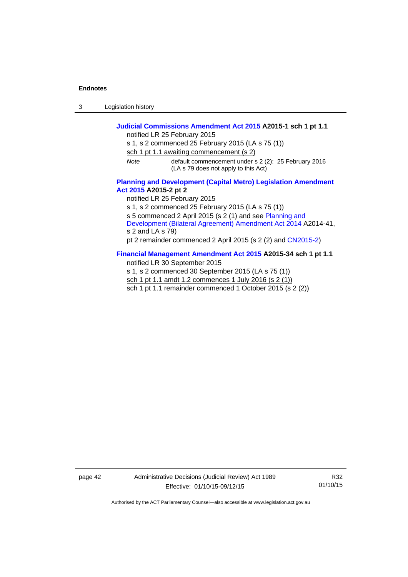3 Legislation history

#### **[Judicial Commissions Amendment Act 2015](http://www.legislation.act.gov.au/a/2015-1) A2015-1 sch 1 pt 1.1**  notified LR 25 February 2015 s 1, s 2 commenced 25 February 2015 (LA s 75 (1)) sch 1 pt 1.1 awaiting commencement (s 2) *Note* default commencement under s 2 (2): 25 February 2016 (LA s 79 does not apply to this Act) **[Planning and Development \(Capital Metro\) Legislation Amendment](http://www.legislation.act.gov.au/a/2015-2)  [Act 2015](http://www.legislation.act.gov.au/a/2015-2) A2015-2 pt 2**  notified LR 25 February 2015 s 1, s 2 commenced 25 February 2015 (LA s 75 (1))

s 5 commenced 2 April 2015 (s 2 (1) and see [Planning and](http://www.legislation.act.gov.au/a/2014-41/default.asp)  [Development \(Bilateral Agreement\) Amendment Act 2014](http://www.legislation.act.gov.au/a/2014-41/default.asp) A2014-41, s 2 and LA s 79) pt 2 remainder commenced 2 April 2015 (s 2 (2) and [CN2015-2](http://www.legislation.act.gov.au/cn/2015-2/default.asp))

#### **[Financial Management Amendment Act 2015](http://www.legislation.act.gov.au/a/2015-34/default.asp) A2015-34 sch 1 pt 1.1**

notified LR 30 September 2015

s 1, s 2 commenced 30 September 2015 (LA s 75 (1)) sch 1 pt 1.1 amdt 1.2 commences 1 July 2016 (s 2 (1)) sch 1 pt 1.1 remainder commenced 1 October 2015 (s 2 (2))

page 42 Administrative Decisions (Judicial Review) Act 1989 Effective: 01/10/15-09/12/15

R32 01/10/15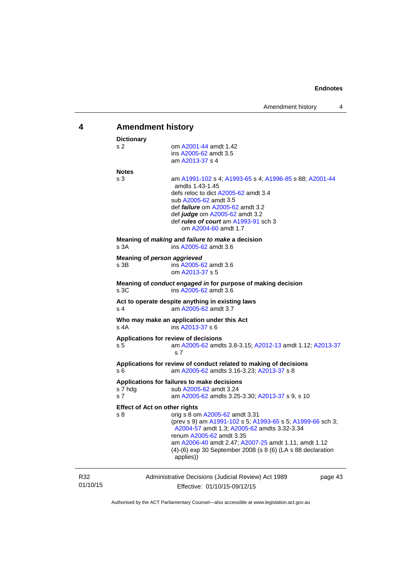<span id="page-46-0"></span>

| 4               | <b>Amendment history</b>                                                                                                                                                                                                                                                                                                                                   |  |  |
|-----------------|------------------------------------------------------------------------------------------------------------------------------------------------------------------------------------------------------------------------------------------------------------------------------------------------------------------------------------------------------------|--|--|
|                 | <b>Dictionary</b><br>s 2<br>om A2001-44 amdt 1.42<br>ins A2005-62 amdt 3.5<br>am A2013-37 s 4                                                                                                                                                                                                                                                              |  |  |
|                 | <b>Notes</b><br>s 3<br>am A1991-102 s 4; A1993-65 s 4; A1996-85 s 88; A2001-44<br>amdts 1.43-1.45<br>defs reloc to dict A2005-62 amdt 3.4<br>sub A2005-62 amdt 3.5<br>def <i>failure</i> om A2005-62 amdt 3.2<br>def judge om A2005-62 amdt 3.2<br>def <i>rules of court</i> am A1993-91 sch 3<br>om A2004-60 amdt 1.7                                     |  |  |
|                 | Meaning of <i>making</i> and <i>failure to make</i> a decision<br>s 3A<br>ins A2005-62 amdt 3.6                                                                                                                                                                                                                                                            |  |  |
|                 | Meaning of person aggrieved<br>s 3B<br>ins A2005-62 amdt 3.6<br>om A2013-37 s 5                                                                                                                                                                                                                                                                            |  |  |
|                 | Meaning of conduct engaged in for purpose of making decision<br>s 3C<br>ins A2005-62 amdt 3.6                                                                                                                                                                                                                                                              |  |  |
|                 | Act to operate despite anything in existing laws<br>s 4<br>am A2005-62 amdt 3.7                                                                                                                                                                                                                                                                            |  |  |
|                 | Who may make an application under this Act<br>s 4A<br>ins A2013-37 s 6                                                                                                                                                                                                                                                                                     |  |  |
|                 | Applications for review of decisions<br>am A2005-62 amdts 3.8-3.15; A2012-13 amdt 1.12; A2013-37<br>s 5<br>s 7                                                                                                                                                                                                                                             |  |  |
|                 | Applications for review of conduct related to making of decisions<br>s 6<br>am A2005-62 amdts 3.16-3.23; A2013-37 s 8                                                                                                                                                                                                                                      |  |  |
|                 | Applications for failures to make decisions<br>s 7 hdg<br>sub A2005-62 amdt 3.24<br>s 7<br>am A2005-62 amdts 3.25-3.30; A2013-37 s 9, s 10                                                                                                                                                                                                                 |  |  |
|                 | <b>Effect of Act on other rights</b><br>s 8<br>orig s 8 om A2005-62 amdt 3.31<br>(prev s 9) am A1991-102 s 5; A1993-65 s 5; A1999-66 sch 3;<br>A2004-57 amdt 1.3; A2005-62 amdts 3.32-3.34<br>renum A2005-62 amdt 3.35<br>am A2006-40 amdt 2.47; A2007-25 amdt 1.11, amdt 1.12<br>(4)-(6) exp 30 September 2008 (s 8 (6) (LA s 88 declaration<br>applies)) |  |  |
| R32<br>01/10/15 | Administrative Decisions (Judicial Review) Act 1989<br>page 43<br>Effective: 01/10/15-09/12/15                                                                                                                                                                                                                                                             |  |  |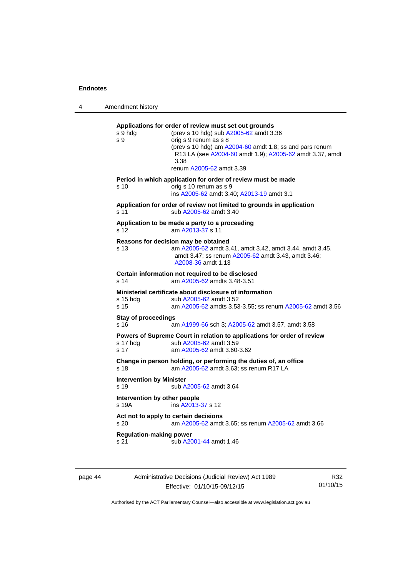4 Amendment history

**Applications for order of review must set out grounds**  s 9 hdg (prev s 10 hdg) sub [A2005-62](http://www.legislation.act.gov.au/a/2005-62) amdt 3.36 s 9 orig s 9 renum as s 8 (prev s 10 hdg) am [A2004-60](http://www.legislation.act.gov.au/a/2004-60) amdt 1.8; ss and pars renum R13 LA (see [A2004-60](http://www.legislation.act.gov.au/a/2004-60) amdt 1.9); [A2005-62](http://www.legislation.act.gov.au/a/2005-62) amdt 3.37, amdt 3.38 renum [A2005-62](http://www.legislation.act.gov.au/a/2005-62) amdt 3.39 **Period in which application for order of review must be made**  s 10 orig s 10 renum as s 9 ins [A2005-62](http://www.legislation.act.gov.au/a/2005-62) amdt 3.40; [A2013-19](http://www.legislation.act.gov.au/a/2013-19) amdt 3.1 **Application for order of review not limited to grounds in application**  s 11 sub [A2005-62](http://www.legislation.act.gov.au/a/2005-62) amdt 3.40 **Application to be made a party to a proceeding**  s 12 am [A2013-37](http://www.legislation.act.gov.au/a/2013-37) s 11 **Reasons for decision may be obtained**  s 13 am [A2005-62](http://www.legislation.act.gov.au/a/2005-62) amdt 3.41, amdt 3.42, amdt 3.44, amdt 3.45, amdt 3.47; ss renum [A2005-62](http://www.legislation.act.gov.au/a/2005-62) amdt 3.43, amdt 3.46; [A2008-36](http://www.legislation.act.gov.au/a/2008-36) amdt 1.13 **Certain information not required to be disclosed**<br>s 14 am A2005-62 amdts 3.48-3.51 am [A2005-62](http://www.legislation.act.gov.au/a/2005-62) amdts 3.48-3.51 **Ministerial certificate about disclosure of information**  s 15 hdg sub [A2005-62](http://www.legislation.act.gov.au/a/2005-62) amdt 3.52 s 15 am [A2005-62](http://www.legislation.act.gov.au/a/2005-62) amdts 3.53-3.55; ss renum [A2005-62](http://www.legislation.act.gov.au/a/2005-62) amdt 3.56 **Stay of proceedings**  s 16 am [A1999-66](http://www.legislation.act.gov.au/a/1999-66) sch 3; [A2005-62](http://www.legislation.act.gov.au/a/2005-62) amdt 3.57, amdt 3.58

**Powers of Supreme Court in relation to applications for order of review**  s 17 hdg sub [A2005-62](http://www.legislation.act.gov.au/a/2005-62) amdt 3.59

s 17 am [A2005-62](http://www.legislation.act.gov.au/a/2005-62) amdt 3.60-3.62

**Change in person holding, or performing the duties of, an office**  s 18 **am [A2005-62](http://www.legislation.act.gov.au/a/2005-62)** amdt 3.63; ss renum R17 LA

**Intervention by Minister** 

s 19 sub [A2005-62](http://www.legislation.act.gov.au/a/2005-62) amdt 3.64

**Intervention by other people**  s 19A ins [A2013-37](http://www.legislation.act.gov.au/a/2013-37) s 12

**Act not to apply to certain decisions**  s 20 am [A2005-62](http://www.legislation.act.gov.au/a/2005-62) amdt 3.65; ss renum [A2005-62](http://www.legislation.act.gov.au/a/2005-62) amdt 3.66

**Regulation-making power** 

s 21 sub [A2001-44](http://www.legislation.act.gov.au/a/2001-44) amdt 1.46

page 44 Administrative Decisions (Judicial Review) Act 1989 Effective: 01/10/15-09/12/15

R32 01/10/15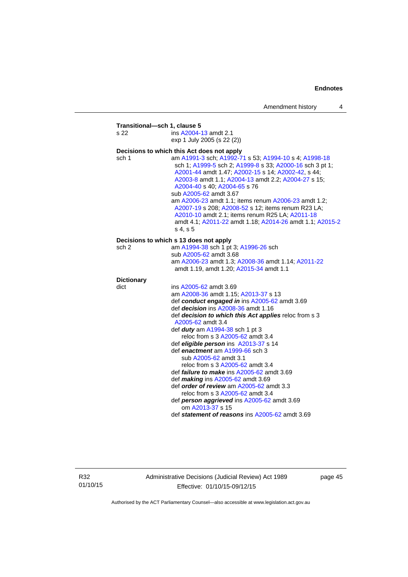| s 22              | ins A2004-13 amdt 2.1                                                                                                                                                                                                                                                                                                                                                                                                                                                                                                             |
|-------------------|-----------------------------------------------------------------------------------------------------------------------------------------------------------------------------------------------------------------------------------------------------------------------------------------------------------------------------------------------------------------------------------------------------------------------------------------------------------------------------------------------------------------------------------|
|                   | exp 1 July 2005 (s 22 (2))                                                                                                                                                                                                                                                                                                                                                                                                                                                                                                        |
|                   | Decisions to which this Act does not apply                                                                                                                                                                                                                                                                                                                                                                                                                                                                                        |
| sch 1             | am A1991-3 sch; A1992-71 s 53; A1994-10 s 4; A1998-18<br>sch 1; A1999-5 sch 2; A1999-8 s 33; A2000-16 sch 3 pt 1;<br>A2001-44 amdt 1.47; A2002-15 s 14; A2002-42, s 44;<br>A2003-8 amdt 1.1; A2004-13 amdt 2.2; A2004-27 s 15;<br>A2004-40 s 40; A2004-65 s 76<br>sub A2005-62 amdt 3.67<br>am A2006-23 amdt 1.1; items renum A2006-23 amdt 1.2;<br>A2007-19 s 208; A2008-52 s 12; items renum R23 LA;<br>A2010-10 amdt 2.1; items renum R25 LA; A2011-18<br>amdt 4.1; A2011-22 amdt 1.18; A2014-26 amdt 1.1; A2015-2<br>s 4, s 5 |
|                   | Decisions to which s 13 does not apply                                                                                                                                                                                                                                                                                                                                                                                                                                                                                            |
| sch 2             | am A1994-38 sch 1 pt 3; A1996-26 sch                                                                                                                                                                                                                                                                                                                                                                                                                                                                                              |
|                   | sub A2005-62 amdt 3.68                                                                                                                                                                                                                                                                                                                                                                                                                                                                                                            |
|                   | am A2006-23 amdt 1.3; A2008-36 amdt 1.14; A2011-22<br>amdt 1.19, amdt 1.20; A2015-34 amdt 1.1                                                                                                                                                                                                                                                                                                                                                                                                                                     |
| <b>Dictionary</b> |                                                                                                                                                                                                                                                                                                                                                                                                                                                                                                                                   |
| dict              | ins A2005-62 amdt 3.69                                                                                                                                                                                                                                                                                                                                                                                                                                                                                                            |
|                   | am A2008-36 amdt 1.15; A2013-37 s 13                                                                                                                                                                                                                                                                                                                                                                                                                                                                                              |
|                   | def conduct engaged in ins A2005-62 amdt 3.69                                                                                                                                                                                                                                                                                                                                                                                                                                                                                     |
|                   | def <i>decision</i> ins A2008-36 amdt 1.16<br>def decision to which this Act applies reloc from s 3                                                                                                                                                                                                                                                                                                                                                                                                                               |
|                   | A2005-62 amdt 3.4                                                                                                                                                                                                                                                                                                                                                                                                                                                                                                                 |
|                   | def <i>duty</i> am A1994-38 sch 1 pt 3                                                                                                                                                                                                                                                                                                                                                                                                                                                                                            |
|                   | reloc from s 3 A2005-62 amdt 3.4                                                                                                                                                                                                                                                                                                                                                                                                                                                                                                  |
|                   | def eligible person ins A2013-37 s 14                                                                                                                                                                                                                                                                                                                                                                                                                                                                                             |
|                   | def enactment am A1999-66 sch 3                                                                                                                                                                                                                                                                                                                                                                                                                                                                                                   |
|                   | sub A2005-62 amdt 3.1                                                                                                                                                                                                                                                                                                                                                                                                                                                                                                             |
|                   | reloc from s 3 A2005-62 amdt 3.4                                                                                                                                                                                                                                                                                                                                                                                                                                                                                                  |
|                   | def <i>failure to make</i> ins A2005-62 amdt 3.69                                                                                                                                                                                                                                                                                                                                                                                                                                                                                 |
|                   | def making ins A2005-62 amdt 3.69                                                                                                                                                                                                                                                                                                                                                                                                                                                                                                 |
|                   | def order of review am A2005-62 amdt 3.3                                                                                                                                                                                                                                                                                                                                                                                                                                                                                          |
|                   | reloc from s 3 A2005-62 amdt 3.4<br>def person aggrieved ins A2005-62 amdt 3.69                                                                                                                                                                                                                                                                                                                                                                                                                                                   |
|                   | om A2013-37 s 15                                                                                                                                                                                                                                                                                                                                                                                                                                                                                                                  |
|                   | def statement of reasons ins A2005-62 amdt 3.69                                                                                                                                                                                                                                                                                                                                                                                                                                                                                   |

R32 01/10/15 Administrative Decisions (Judicial Review) Act 1989 Effective: 01/10/15-09/12/15

page 45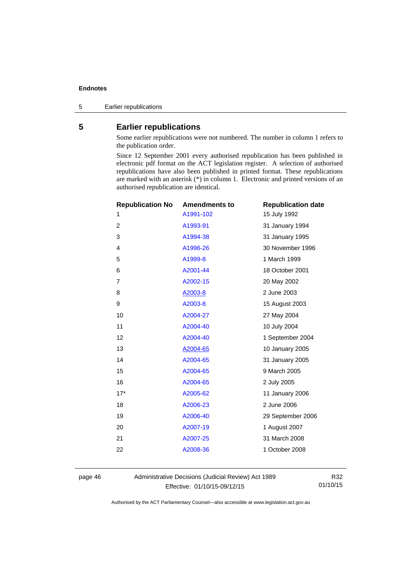5 Earlier republications

#### <span id="page-49-0"></span>**5 Earlier republications**

Some earlier republications were not numbered. The number in column 1 refers to the publication order.

Since 12 September 2001 every authorised republication has been published in electronic pdf format on the ACT legislation register. A selection of authorised republications have also been published in printed format. These republications are marked with an asterisk (\*) in column 1. Electronic and printed versions of an authorised republication are identical.

| <b>Republication No</b> | <b>Amendments to</b> | <b>Republication date</b> |
|-------------------------|----------------------|---------------------------|
| 1                       | A1991-102            | 15 July 1992              |
| $\overline{2}$          | A1993-91             | 31 January 1994           |
| 3                       | A1994-38             | 31 January 1995           |
| 4                       | A1996-26             | 30 November 1996          |
| 5                       | A1999-8              | 1 March 1999              |
| 6                       | A2001-44             | 18 October 2001           |
| 7                       | A2002-15             | 20 May 2002               |
| 8                       | A2003-8              | 2 June 2003               |
| 9                       | A2003-8              | 15 August 2003            |
| 10                      | A2004-27             | 27 May 2004               |
| 11                      | A2004-40             | 10 July 2004              |
| 12                      | A2004-40             | 1 September 2004          |
| 13                      | A2004-65             | 10 January 2005           |
| 14                      | A2004-65             | 31 January 2005           |
| 15                      | A2004-65             | 9 March 2005              |
| 16                      | A2004-65             | 2 July 2005               |
| $17*$                   | A2005-62             | 11 January 2006           |
| 18                      | A2006-23             | 2 June 2006               |
| 19                      | A2006-40             | 29 September 2006         |
| 20                      | A2007-19             | 1 August 2007             |
| 21                      | A2007-25             | 31 March 2008             |
| 22                      | A2008-36             | 1 October 2008            |
|                         |                      |                           |

page 46 Administrative Decisions (Judicial Review) Act 1989 Effective: 01/10/15-09/12/15

R32 01/10/15